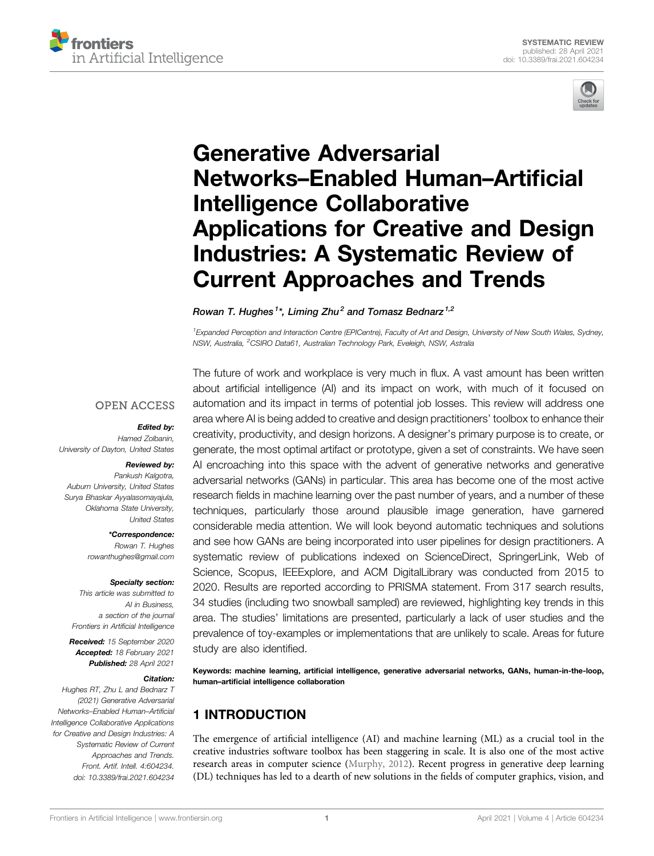



# [Generative Adversarial](https://www.frontiersin.org/articles/10.3389/frai.2021.604234/full) [Networks](https://www.frontiersin.org/articles/10.3389/frai.2021.604234/full)–[Enabled Human](https://www.frontiersin.org/articles/10.3389/frai.2021.604234/full)–[Arti](https://www.frontiersin.org/articles/10.3389/frai.2021.604234/full)ficial [Intelligence Collaborative](https://www.frontiersin.org/articles/10.3389/frai.2021.604234/full) [Applications for Creative and Design](https://www.frontiersin.org/articles/10.3389/frai.2021.604234/full) [Industries: A Systematic Review of](https://www.frontiersin.org/articles/10.3389/frai.2021.604234/full) [Current Approaches and Trends](https://www.frontiersin.org/articles/10.3389/frai.2021.604234/full)

Rowan T. Hughes $^{1\star}$ , Liming Zhu $^2$  and Tomasz Bednarz $^{1,2}$ 

<sup>1</sup> Expanded Perception and Interaction Centre (EPICentre), Faculty of Art and Design, University of New South Wales, Sydney, NSW, Australia, <sup>2</sup>CSIRO Data61, Australian Technology Park, Eveleigh, NSW, Astralia

#### **OPEN ACCESS**

#### Edited by:

Hamed Zolbanin, University of Dayton, United States

#### Reviewed by:

Pankush Kalgotra, Auburn University, United States Surva Bhaskar Avvalasomavajula, Oklahoma State University, United States

> \*Correspondence: Rowan T. Hughes [rowanthughes@gmail.com](mailto:rowanthughes@gmail.com)

#### Specialty section:

This article was submitted to AI in Business, a section of the journal Frontiers in Artificial Intelligence

Received: 15 September 2020 Accepted: 18 February 2021 Published: 28 April 2021

#### Citation:

Hughes RT, Zhu L and Bednarz T (2021) Generative Adversarial Networks–Enabled Human–Artificial Intelligence Collaborative Applications for Creative and Design Industries: A Systematic Review of Current Approaches and Trends. Front. Artif. Intell. 4:604234. doi: [10.3389/frai.2021.604234](https://doi.org/10.3389/frai.2021.604234)

The future of work and workplace is very much in flux. A vast amount has been written about artificial intelligence (AI) and its impact on work, with much of it focused on automation and its impact in terms of potential job losses. This review will address one area where AI is being added to creative and design practitioners' toolbox to enhance their creativity, productivity, and design horizons. A designer's primary purpose is to create, or generate, the most optimal artifact or prototype, given a set of constraints. We have seen AI encroaching into this space with the advent of generative networks and generative adversarial networks (GANs) in particular. This area has become one of the most active research fields in machine learning over the past number of years, and a number of these techniques, particularly those around plausible image generation, have garnered considerable media attention. We will look beyond automatic techniques and solutions and see how GANs are being incorporated into user pipelines for design practitioners. A systematic review of publications indexed on ScienceDirect, SpringerLink, Web of Science, Scopus, IEEExplore, and ACM DigitalLibrary was conducted from 2015 to 2020. Results are reported according to PRISMA statement. From 317 search results, 34 studies (including two snowball sampled) are reviewed, highlighting key trends in this area. The studies' limitations are presented, particularly a lack of user studies and the prevalence of toy-examples or implementations that are unlikely to scale. Areas for future study are also identified.

Keywords: machine learning, artificial intelligence, generative adversarial networks, GANs, human-in-the-loop, human–artificial intelligence collaboration

# 1 INTRODUCTION

The emergence of artificial intelligence (AI) and machine learning (ML) as a crucial tool in the creative industries software toolbox has been staggering in scale. It is also one of the most active research areas in computer science [\(Murphy, 2012](#page-15-0)). Recent progress in generative deep learning (DL) techniques has led to a dearth of new solutions in the fields of computer graphics, vision, and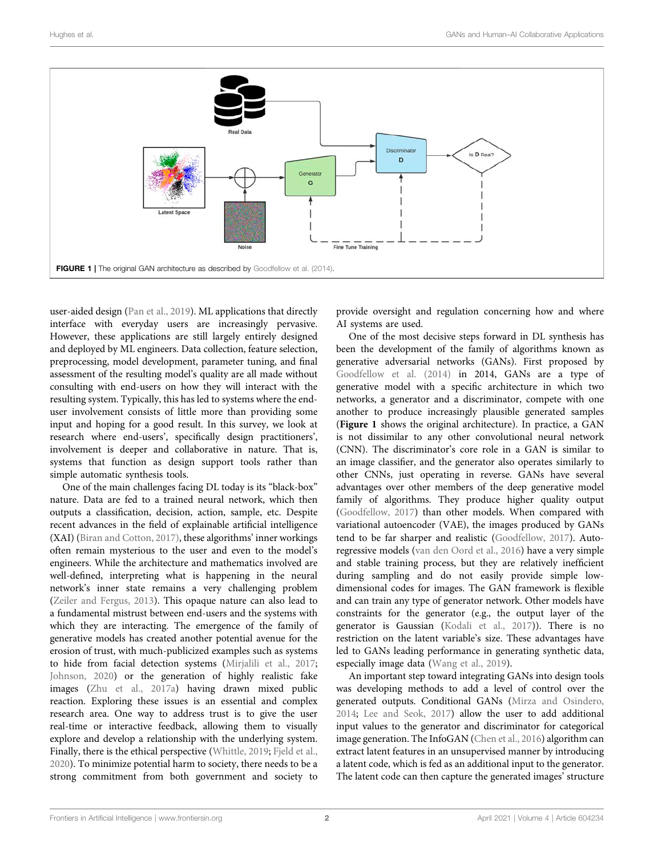

<span id="page-1-0"></span>user-aided design ([Pan et al., 2019](#page-16-0)). ML applications that directly interface with everyday users are increasingly pervasive. However, these applications are still largely entirely designed and deployed by ML engineers. Data collection, feature selection, preprocessing, model development, parameter tuning, and final assessment of the resulting model's quality are all made without consulting with end-users on how they will interact with the resulting system. Typically, this has led to systems where the enduser involvement consists of little more than providing some input and hoping for a good result. In this survey, we look at research where end-users', specifically design practitioners', involvement is deeper and collaborative in nature. That is, systems that function as design support tools rather than simple automatic synthesis tools.

One of the main challenges facing DL today is its "black-box" nature. Data are fed to a trained neural network, which then outputs a classification, decision, action, sample, etc. Despite recent advances in the field of explainable artificial intelligence (XAI) ([Biran and Cotton, 2017\)](#page-14-0), these algorithms' inner workings often remain mysterious to the user and even to the model's engineers. While the architecture and mathematics involved are well-defined, interpreting what is happening in the neural network's inner state remains a very challenging problem ([Zeiler and Fergus, 2013](#page-16-1)). This opaque nature can also lead to a fundamental mistrust between end-users and the systems with which they are interacting. The emergence of the family of generative models has created another potential avenue for the erosion of trust, with much-publicized examples such as systems to hide from facial detection systems ([Mirjalili et al., 2017](#page-15-1); [Johnson, 2020](#page-15-2)) or the generation of highly realistic fake images [\(Zhu et al., 2017a\)](#page-16-2) having drawn mixed public reaction. Exploring these issues is an essential and complex research area. One way to address trust is to give the user real-time or interactive feedback, allowing them to visually explore and develop a relationship with the underlying system. Finally, there is the ethical perspective [\(Whittle, 2019;](#page-16-3) [Fjeld et al.,](#page-15-3) [2020](#page-15-3)). To minimize potential harm to society, there needs to be a strong commitment from both government and society to

provide oversight and regulation concerning how and where AI systems are used.

One of the most decisive steps forward in DL synthesis has been the development of the family of algorithms known as generative adversarial networks (GANs). First proposed by [Goodfellow et al. \(2014\)](#page-15-4) in 2014, GANs are a type of generative model with a specific architecture in which two networks, a generator and a discriminator, compete with one another to produce increasingly plausible generated samples ([Figure 1](#page-1-0) shows the original architecture). In practice, a GAN is not dissimilar to any other convolutional neural network (CNN). The discriminator's core role in a GAN is similar to an image classifier, and the generator also operates similarly to other CNNs, just operating in reverse. GANs have several advantages over other members of the deep generative model family of algorithms. They produce higher quality output [\(Goodfellow, 2017](#page-15-5)) than other models. When compared with variational autoencoder (VAE), the images produced by GANs tend to be far sharper and realistic ([Goodfellow, 2017](#page-15-5)). Autoregressive models [\(van den Oord et al., 2016](#page-16-4)) have a very simple and stable training process, but they are relatively inefficient during sampling and do not easily provide simple lowdimensional codes for images. The GAN framework is flexible and can train any type of generator network. Other models have constraints for the generator (e.g., the output layer of the generator is Gaussian ([Kodali et al., 2017](#page-15-6))). There is no restriction on the latent variable's size. These advantages have led to GANs leading performance in generating synthetic data, especially image data [\(Wang et al., 2019](#page-16-5)).

An important step toward integrating GANs into design tools was developing methods to add a level of control over the generated outputs. Conditional GANs ([Mirza and Osindero,](#page-15-7) [2014](#page-15-7); [Lee and Seok, 2017\)](#page-15-8) allow the user to add additional input values to the generator and discriminator for categorical image generation. The InfoGAN ([Chen et al., 2016\)](#page-14-1) algorithm can extract latent features in an unsupervised manner by introducing a latent code, which is fed as an additional input to the generator. The latent code can then capture the generated images' structure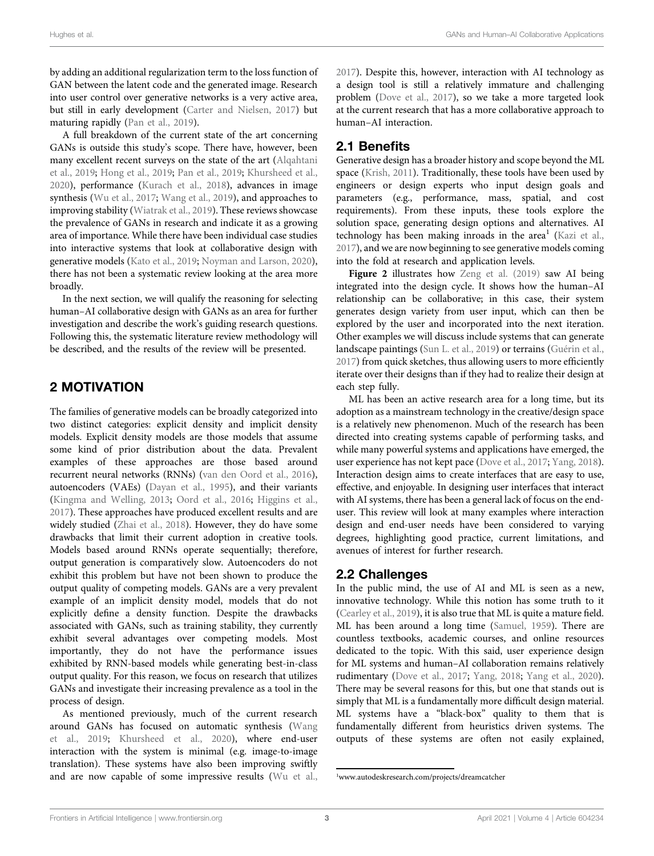by adding an additional regularization term to the loss function of GAN between the latent code and the generated image. Research into user control over generative networks is a very active area, but still in early development [\(Carter and Nielsen, 2017](#page-14-2)) but maturing rapidly ([Pan et al., 2019](#page-16-0)).

A full breakdown of the current state of the art concerning GANs is outside this study's scope. There have, however, been many excellent recent surveys on the state of the art ([Alqahtani](#page-14-3) [et al., 2019;](#page-14-3) [Hong et al., 2019;](#page-15-9) [Pan et al., 2019](#page-16-0); [Khursheed et al.,](#page-15-10) [2020](#page-15-10)), performance [\(Kurach et al., 2018](#page-15-11)), advances in image synthesis [\(Wu et al., 2017](#page-16-6); [Wang et al., 2019](#page-16-5)), and approaches to improving stability [\(Wiatrak et al., 2019](#page-16-7)). These reviews showcase the prevalence of GANs in research and indicate it as a growing area of importance. While there have been individual case studies into interactive systems that look at collaborative design with generative models ([Kato et al., 2019](#page-15-12); [Noyman and Larson, 2020\)](#page-15-13), there has not been a systematic review looking at the area more broadly.

In the next section, we will qualify the reasoning for selecting human–AI collaborative design with GANs as an area for further investigation and describe the work's guiding research questions. Following this, the systematic literature review methodology will be described, and the results of the review will be presented.

# 2 MOTIVATION

The families of generative models can be broadly categorized into two distinct categories: explicit density and implicit density models. Explicit density models are those models that assume some kind of prior distribution about the data. Prevalent examples of these approaches are those based around recurrent neural networks (RNNs) ([van den Oord et al., 2016\)](#page-16-4), autoencoders (VAEs) ([Dayan et al., 1995\)](#page-14-4), and their variants ([Kingma and Welling, 2013;](#page-15-14) [Oord et al., 2016](#page-16-8); [Higgins et al.,](#page-15-15) [2017](#page-15-15)). These approaches have produced excellent results and are widely studied ([Zhai et al., 2018\)](#page-16-9). However, they do have some drawbacks that limit their current adoption in creative tools. Models based around RNNs operate sequentially; therefore, output generation is comparatively slow. Autoencoders do not exhibit this problem but have not been shown to produce the output quality of competing models. GANs are a very prevalent example of an implicit density model, models that do not explicitly define a density function. Despite the drawbacks associated with GANs, such as training stability, they currently exhibit several advantages over competing models. Most importantly, they do not have the performance issues exhibited by RNN-based models while generating best-in-class output quality. For this reason, we focus on research that utilizes GANs and investigate their increasing prevalence as a tool in the process of design.

As mentioned previously, much of the current research around GANs has focused on automatic synthesis [\(Wang](#page-16-5) [et al., 2019](#page-16-5); [Khursheed et al., 2020\)](#page-15-10), where end-user interaction with the system is minimal (e.g. image-to-image translation). These systems have also been improving swiftly and are now capable of some impressive results [\(Wu et al.,](#page-16-6) [2017](#page-16-6)). Despite this, however, interaction with AI technology as a design tool is still a relatively immature and challenging problem [\(Dove et al., 2017](#page-15-16)), so we take a more targeted look at the current research that has a more collaborative approach to human–AI interaction.

# 2.1 Benefits

Generative design has a broader history and scope beyond the ML space [\(Krish, 2011\)](#page-15-17). Traditionally, these tools have been used by engineers or design experts who input design goals and parameters (e.g., performance, mass, spatial, and cost requirements). From these inputs, these tools explore the solution space, generating design options and alternatives. AI technology has been making inroads in the area<sup>1</sup> ([Kazi et al.,](#page-15-18) [2017](#page-15-18)), and we are now beginning to see generative models coming into the fold at research and application levels.

[Figure 2](#page-3-0) illustrates how [Zeng et al. \(2019\)](#page-16-10) saw AI being integrated into the design cycle. It shows how the human–AI relationship can be collaborative; in this case, their system generates design variety from user input, which can then be explored by the user and incorporated into the next iteration. Other examples we will discuss include systems that can generate landscape paintings ([Sun L. et al., 2019](#page-16-11)) or terrains ([Guérin et al.,](#page-15-19) [2017](#page-15-19)) from quick sketches, thus allowing users to more efficiently iterate over their designs than if they had to realize their design at each step fully.

ML has been an active research area for a long time, but its adoption as a mainstream technology in the creative/design space is a relatively new phenomenon. Much of the research has been directed into creating systems capable of performing tasks, and while many powerful systems and applications have emerged, the user experience has not kept pace ([Dove et al., 2017;](#page-15-16) [Yang, 2018\)](#page-16-12). Interaction design aims to create interfaces that are easy to use, effective, and enjoyable. In designing user interfaces that interact with AI systems, there has been a general lack of focus on the enduser. This review will look at many examples where interaction design and end-user needs have been considered to varying degrees, highlighting good practice, current limitations, and avenues of interest for further research.

### 2.2 Challenges

In the public mind, the use of AI and ML is seen as a new, innovative technology. While this notion has some truth to it [\(Cearley et al., 2019](#page-14-5)), it is also true that ML is quite a mature field. ML has been around a long time ([Samuel, 1959\)](#page-16-13). There are countless textbooks, academic courses, and online resources dedicated to the topic. With this said, user experience design for ML systems and human–AI collaboration remains relatively rudimentary [\(Dove et al., 2017;](#page-15-16) [Yang, 2018](#page-16-12); [Yang et al., 2020\)](#page-16-14). There may be several reasons for this, but one that stands out is simply that ML is a fundamentally more difficult design material. ML systems have a "black-box" quality to them that is fundamentally different from heuristics driven systems. The outputs of these systems are often not easily explained,

<sup>1</sup> [www.autodeskresearch.com/projects/dreamcatcher](%20http://www.autodeskresearch.com/projects/dreamcatcher)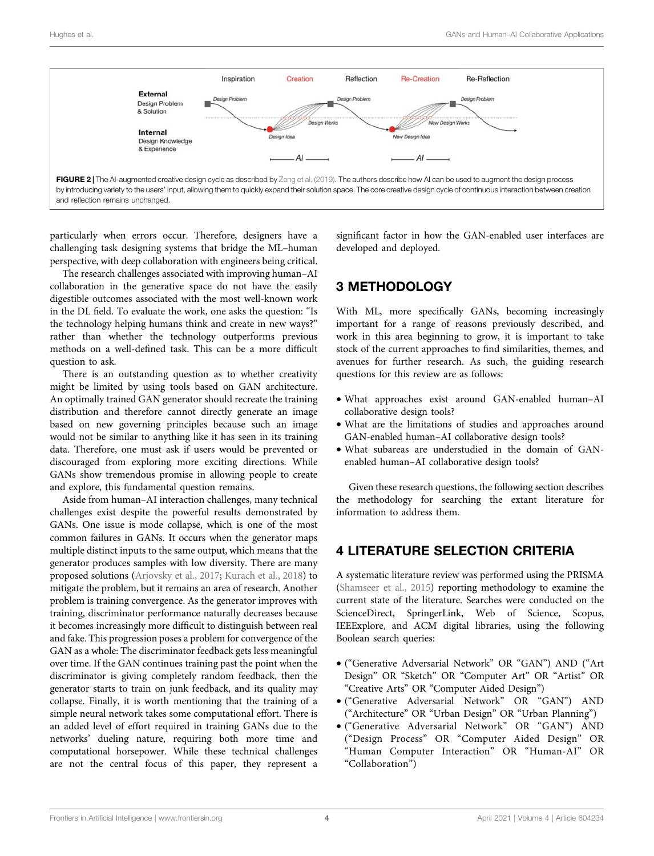

<span id="page-3-0"></span>particularly when errors occur. Therefore, designers have a challenging task designing systems that bridge the ML–human perspective, with deep collaboration with engineers being critical.

The research challenges associated with improving human–AI collaboration in the generative space do not have the easily digestible outcomes associated with the most well-known work in the DL field. To evaluate the work, one asks the question: "Is the technology helping humans think and create in new ways?" rather than whether the technology outperforms previous methods on a well-defined task. This can be a more difficult question to ask.

There is an outstanding question as to whether creativity might be limited by using tools based on GAN architecture. An optimally trained GAN generator should recreate the training distribution and therefore cannot directly generate an image based on new governing principles because such an image would not be similar to anything like it has seen in its training data. Therefore, one must ask if users would be prevented or discouraged from exploring more exciting directions. While GANs show tremendous promise in allowing people to create and explore, this fundamental question remains.

Aside from human–AI interaction challenges, many technical challenges exist despite the powerful results demonstrated by GANs. One issue is mode collapse, which is one of the most common failures in GANs. It occurs when the generator maps multiple distinct inputs to the same output, which means that the generator produces samples with low diversity. There are many proposed solutions ([Arjovsky et al., 2017](#page-14-6); [Kurach et al., 2018\)](#page-15-11) to mitigate the problem, but it remains an area of research. Another problem is training convergence. As the generator improves with training, discriminator performance naturally decreases because it becomes increasingly more difficult to distinguish between real and fake. This progression poses a problem for convergence of the GAN as a whole: The discriminator feedback gets less meaningful over time. If the GAN continues training past the point when the discriminator is giving completely random feedback, then the generator starts to train on junk feedback, and its quality may collapse. Finally, it is worth mentioning that the training of a simple neural network takes some computational effort. There is an added level of effort required in training GANs due to the networks' dueling nature, requiring both more time and computational horsepower. While these technical challenges are not the central focus of this paper, they represent a

significant factor in how the GAN-enabled user interfaces are developed and deployed.

### 3 METHODOLOGY

With ML, more specifically GANs, becoming increasingly important for a range of reasons previously described, and work in this area beginning to grow, it is important to take stock of the current approaches to find similarities, themes, and avenues for further research. As such, the guiding research questions for this review are as follows:

- What approaches exist around GAN-enabled human–AI collaborative design tools?
- What are the limitations of studies and approaches around GAN-enabled human–AI collaborative design tools?
- What subareas are understudied in the domain of GANenabled human–AI collaborative design tools?

Given these research questions, the following section describes the methodology for searching the extant literature for information to address them.

### 4 LITERATURE SELECTION CRITERIA

A systematic literature review was performed using the PRISMA [\(Shamseer et al., 2015](#page-16-15)) reporting methodology to examine the current state of the literature. Searches were conducted on the ScienceDirect, SpringerLink, Web of Science, Scopus, IEEExplore, and ACM digital libraries, using the following Boolean search queries:

- ("Generative Adversarial Network" OR "GAN") AND ("Art Design" OR "Sketch" OR "Computer Art" OR "Artist" OR "Creative Arts" OR "Computer Aided Design")
- ("Generative Adversarial Network" OR "GAN") AND ("Architecture" OR "Urban Design" OR "Urban Planning")
- ("Generative Adversarial Network" OR "GAN") AND ("Design Process" OR "Computer Aided Design" OR "Human Computer Interaction" OR "Human-AI" OR "Collaboration")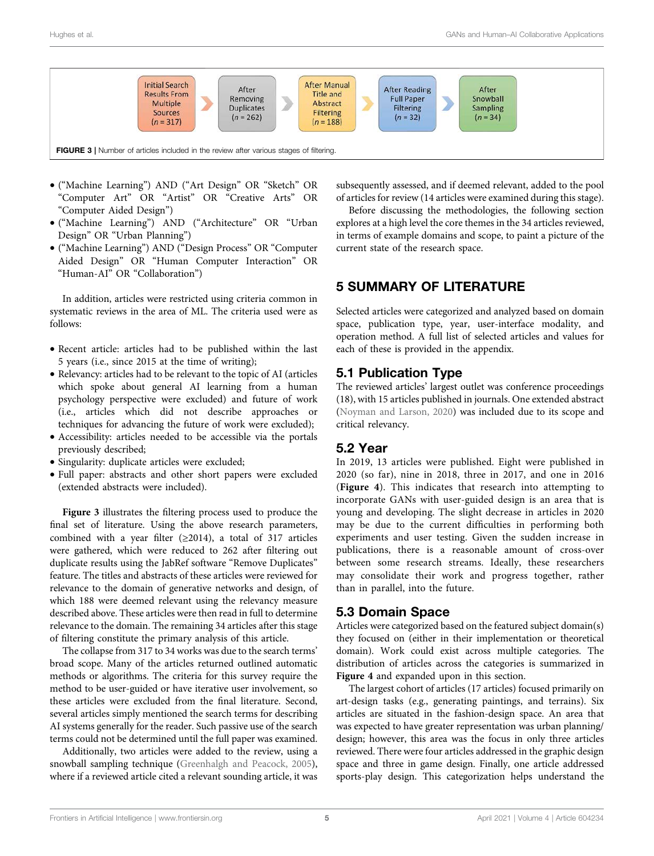

- <span id="page-4-0"></span>• ("Machine Learning") AND ("Art Design" OR "Sketch" OR "Computer Art" OR "Artist" OR "Creative Arts" OR "Computer Aided Design")
- ("Machine Learning") AND ("Architecture" OR "Urban Design" OR "Urban Planning")
- ("Machine Learning") AND ("Design Process" OR "Computer Aided Design" OR "Human Computer Interaction" OR "Human-AI" OR "Collaboration")

In addition, articles were restricted using criteria common in systematic reviews in the area of ML. The criteria used were as follows:

- Recent article: articles had to be published within the last 5 years (i.e., since 2015 at the time of writing);
- Relevancy: articles had to be relevant to the topic of AI (articles which spoke about general AI learning from a human psychology perspective were excluded) and future of work (i.e., articles which did not describe approaches or techniques for advancing the future of work were excluded);
- Accessibility: articles needed to be accessible via the portals previously described;
- Singularity: duplicate articles were excluded;
- Full paper: abstracts and other short papers were excluded (extended abstracts were included).

[Figure 3](#page-4-0) illustrates the filtering process used to produce the final set of literature. Using the above research parameters, combined with a year filter ( $\geq 2014$ ), a total of 317 articles were gathered, which were reduced to 262 after filtering out duplicate results using the JabRef software "Remove Duplicates" feature. The titles and abstracts of these articles were reviewed for relevance to the domain of generative networks and design, of which 188 were deemed relevant using the relevancy measure described above. These articles were then read in full to determine relevance to the domain. The remaining 34 articles after this stage of filtering constitute the primary analysis of this article.

The collapse from 317 to 34 works was due to the search terms' broad scope. Many of the articles returned outlined automatic methods or algorithms. The criteria for this survey require the method to be user-guided or have iterative user involvement, so these articles were excluded from the final literature. Second, several articles simply mentioned the search terms for describing AI systems generally for the reader. Such passive use of the search terms could not be determined until the full paper was examined.

Additionally, two articles were added to the review, using a snowball sampling technique [\(Greenhalgh and Peacock, 2005\)](#page-15-20), where if a reviewed article cited a relevant sounding article, it was subsequently assessed, and if deemed relevant, added to the pool of articles for review (14 articles were examined during this stage).

Before discussing the methodologies, the following section explores at a high level the core themes in the 34 articles reviewed, in terms of example domains and scope, to paint a picture of the current state of the research space.

# 5 SUMMARY OF LITERATURE

Selected articles were categorized and analyzed based on domain space, publication type, year, user-interface modality, and operation method. A full list of selected articles and values for each of these is provided in the appendix.

### 5.1 Publication Type

The reviewed articles' largest outlet was conference proceedings (18), with 15 articles published in journals. One extended abstract [\(Noyman and Larson, 2020](#page-15-13)) was included due to its scope and critical relevancy.

### 5.2 Year

In 2019, 13 articles were published. Eight were published in 2020 (so far), nine in 2018, three in 2017, and one in 2016 ([Figure 4](#page-5-0)). This indicates that research into attempting to incorporate GANs with user-guided design is an area that is young and developing. The slight decrease in articles in 2020 may be due to the current difficulties in performing both experiments and user testing. Given the sudden increase in publications, there is a reasonable amount of cross-over between some research streams. Ideally, these researchers may consolidate their work and progress together, rather than in parallel, into the future.

### 5.3 Domain Space

Articles were categorized based on the featured subject domain(s) they focused on (either in their implementation or theoretical domain). Work could exist across multiple categories. The distribution of articles across the categories is summarized in [Figure 4](#page-5-0) and expanded upon in this section.

The largest cohort of articles (17 articles) focused primarily on art-design tasks (e.g., generating paintings, and terrains). Six articles are situated in the fashion-design space. An area that was expected to have greater representation was urban planning/ design; however, this area was the focus in only three articles reviewed. There were four articles addressed in the graphic design space and three in game design. Finally, one article addressed sports-play design. This categorization helps understand the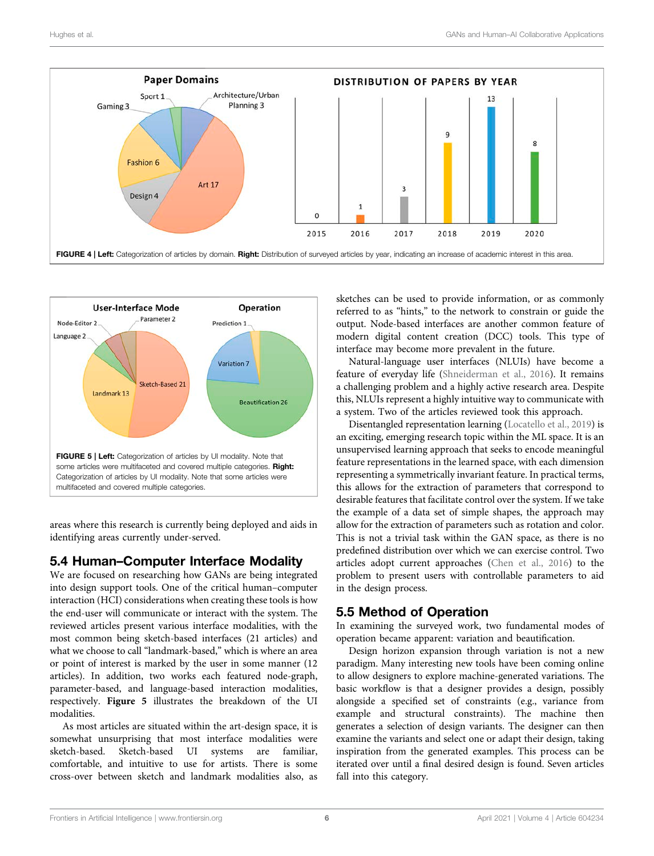

<span id="page-5-0"></span>

<span id="page-5-1"></span>areas where this research is currently being deployed and aids in identifying areas currently under-served.

### 5.4 Human–Computer Interface Modality

We are focused on researching how GANs are being integrated into design support tools. One of the critical human–computer interaction (HCI) considerations when creating these tools is how the end-user will communicate or interact with the system. The reviewed articles present various interface modalities, with the most common being sketch-based interfaces (21 articles) and what we choose to call "landmark-based," which is where an area or point of interest is marked by the user in some manner (12 articles). In addition, two works each featured node-graph, parameter-based, and language-based interaction modalities, respectively. [Figure 5](#page-5-1) illustrates the breakdown of the UI modalities.

As most articles are situated within the art-design space, it is somewhat unsurprising that most interface modalities were sketch-based. Sketch-based UI systems are familiar, comfortable, and intuitive to use for artists. There is some cross-over between sketch and landmark modalities also, as

sketches can be used to provide information, or as commonly referred to as "hints," to the network to constrain or guide the output. Node-based interfaces are another common feature of modern digital content creation (DCC) tools. This type of interface may become more prevalent in the future.

Natural-language user interfaces (NLUIs) have become a feature of everyday life [\(Shneiderman et al., 2016\)](#page-16-16). It remains a challenging problem and a highly active research area. Despite this, NLUIs represent a highly intuitive way to communicate with a system. Two of the articles reviewed took this approach.

Disentangled representation learning [\(Locatello et al., 2019\)](#page-15-21) is an exciting, emerging research topic within the ML space. It is an unsupervised learning approach that seeks to encode meaningful feature representations in the learned space, with each dimension representing a symmetrically invariant feature. In practical terms, this allows for the extraction of parameters that correspond to desirable features that facilitate control over the system. If we take the example of a data set of simple shapes, the approach may allow for the extraction of parameters such as rotation and color. This is not a trivial task within the GAN space, as there is no predefined distribution over which we can exercise control. Two articles adopt current approaches [\(Chen et al., 2016\)](#page-14-1) to the problem to present users with controllable parameters to aid in the design process.

# 5.5 Method of Operation

In examining the surveyed work, two fundamental modes of operation became apparent: variation and beautification.

Design horizon expansion through variation is not a new paradigm. Many interesting new tools have been coming online to allow designers to explore machine-generated variations. The basic workflow is that a designer provides a design, possibly alongside a specified set of constraints (e.g., variance from example and structural constraints). The machine then generates a selection of design variants. The designer can then examine the variants and select one or adapt their design, taking inspiration from the generated examples. This process can be iterated over until a final desired design is found. Seven articles fall into this category.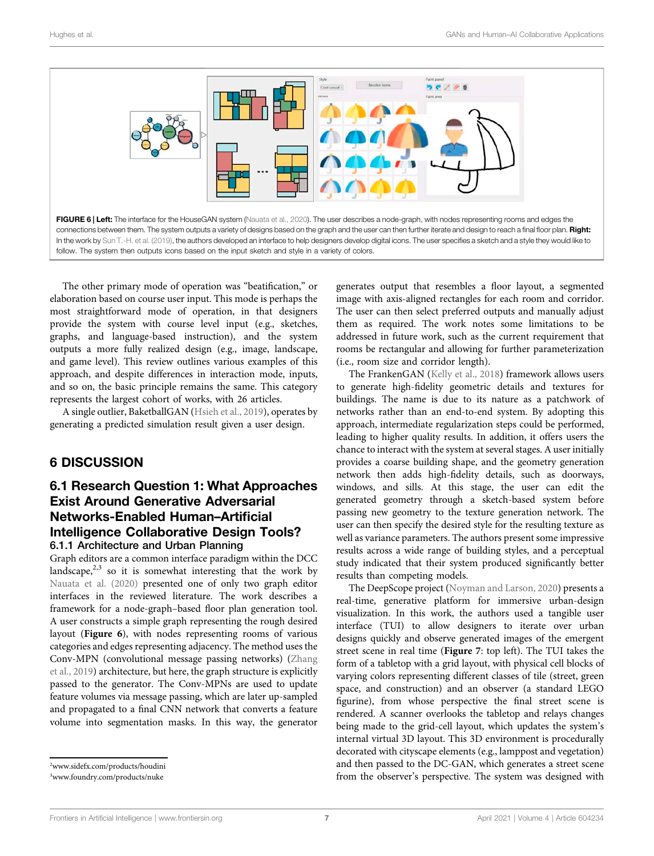

<span id="page-6-0"></span>The other primary mode of operation was "beatification," or elaboration based on course user input. This mode is perhaps the most straightforward mode of operation, in that designers provide the system with course level input (e.g., sketches, graphs, and language-based instruction), and the system outputs a more fully realized design (e.g., image, landscape, and game level). This review outlines various examples of this approach, and despite differences in interaction mode, inputs, and so on, the basic principle remains the same. This category represents the largest cohort of works, with 26 articles.

A single outlier, BaketballGAN ([Hsieh et al., 2019\)](#page-15-22), operates by generating a predicted simulation result given a user design.

### 6 DISCUSSION

### 6.1 Research Question 1: What Approaches Exist Around Generative Adversarial Networks-Enabled Human–Artificial Intelligence Collaborative Design Tools? 6.1.1 Architecture and Urban Planning

Graph editors are a common interface paradigm within the DCC landscape, $2,3$  so it is somewhat interesting that the work by [Nauata et al. \(2020\)](#page-15-23) presented one of only two graph editor interfaces in the reviewed literature. The work describes a framework for a node-graph–based floor plan generation tool. A user constructs a simple graph representing the rough desired layout ([Figure 6](#page-6-0)), with nodes representing rooms of various categories and edges representing adjacency. The method uses the Conv-MPN (convolutional message passing networks) ([Zhang](#page-16-17) [et al., 2019\)](#page-16-17) architecture, but here, the graph structure is explicitly passed to the generator. The Conv-MPNs are used to update feature volumes via message passing, which are later up-sampled and propagated to a final CNN network that converts a feature volume into segmentation masks. In this way, the generator

2 [www.sidefx.com/products/houdini](%20http://www.sidefx.com/products/houdini)

3 [www.foundry.com/products/nuke](%20http://www.foundry.com/products/nuke)

generates output that resembles a floor layout, a segmented image with axis-aligned rectangles for each room and corridor. The user can then select preferred outputs and manually adjust them as required. The work notes some limitations to be addressed in future work, such as the current requirement that rooms be rectangular and allowing for further parameterization (i.e., room size and corridor length).

The FrankenGAN [\(Kelly et al., 2018](#page-15-24)) framework allows users to generate high-fidelity geometric details and textures for buildings. The name is due to its nature as a patchwork of networks rather than an end-to-end system. By adopting this approach, intermediate regularization steps could be performed, leading to higher quality results. In addition, it offers users the chance to interact with the system at several stages. A user initially provides a coarse building shape, and the geometry generation network then adds high-fidelity details, such as doorways, windows, and sills. At this stage, the user can edit the generated geometry through a sketch-based system before passing new geometry to the texture generation network. The user can then specify the desired style for the resulting texture as well as variance parameters. The authors present some impressive results across a wide range of building styles, and a perceptual study indicated that their system produced significantly better results than competing models.

The DeepScope project ([Noyman and Larson, 2020\)](#page-15-13) presents a real-time, generative platform for immersive urban-design visualization. In this work, the authors used a tangible user interface (TUI) to allow designers to iterate over urban designs quickly and observe generated images of the emergent street scene in real time ([Figure 7](#page-7-0): top left). The TUI takes the form of a tabletop with a grid layout, with physical cell blocks of varying colors representing different classes of tile (street, green space, and construction) and an observer (a standard LEGO figurine), from whose perspective the final street scene is rendered. A scanner overlooks the tabletop and relays changes being made to the grid-cell layout, which updates the system's internal virtual 3D layout. This 3D environment is procedurally decorated with cityscape elements (e.g., lamppost and vegetation) and then passed to the DC-GAN, which generates a street scene from the observer's perspective. The system was designed with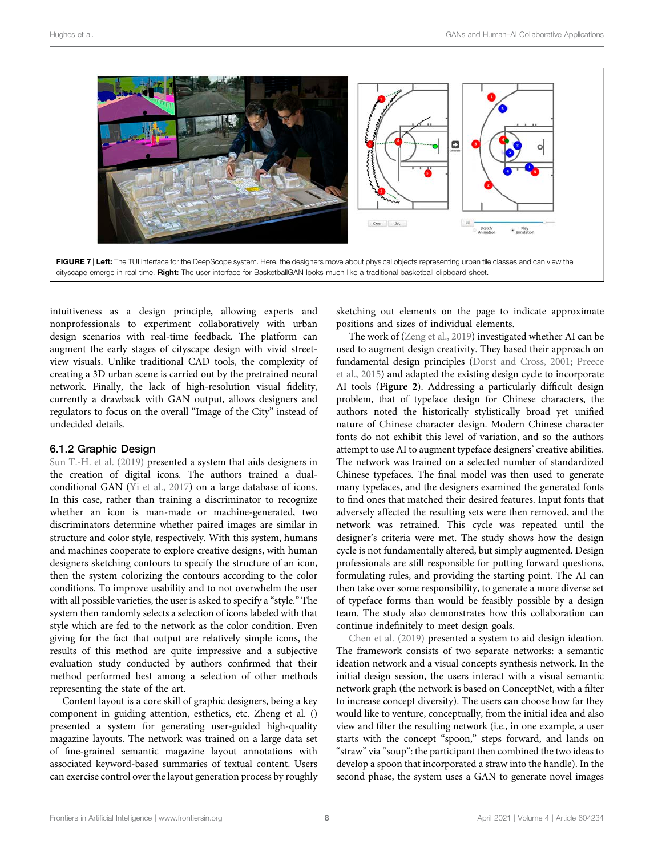

<span id="page-7-0"></span>intuitiveness as a design principle, allowing experts and nonprofessionals to experiment collaboratively with urban design scenarios with real-time feedback. The platform can augment the early stages of cityscape design with vivid streetview visuals. Unlike traditional CAD tools, the complexity of creating a 3D urban scene is carried out by the pretrained neural network. Finally, the lack of high-resolution visual fidelity, currently a drawback with GAN output, allows designers and regulators to focus on the overall "Image of the City" instead of undecided details.

#### 6.1.2 Graphic Design

[Sun T.-H. et al. \(2019\)](#page-16-18) presented a system that aids designers in the creation of digital icons. The authors trained a dualconditional GAN [\(Yi et al., 2017](#page-16-19)) on a large database of icons. In this case, rather than training a discriminator to recognize whether an icon is man-made or machine-generated, two discriminators determine whether paired images are similar in structure and color style, respectively. With this system, humans and machines cooperate to explore creative designs, with human designers sketching contours to specify the structure of an icon, then the system colorizing the contours according to the color conditions. To improve usability and to not overwhelm the user with all possible varieties, the user is asked to specify a "style." The system then randomly selects a selection of icons labeled with that style which are fed to the network as the color condition. Even giving for the fact that output are relatively simple icons, the results of this method are quite impressive and a subjective evaluation study conducted by authors confirmed that their method performed best among a selection of other methods representing the state of the art.

Content layout is a core skill of graphic designers, being a key component in guiding attention, esthetics, etc. Zheng et al. () presented a system for generating user-guided high-quality magazine layouts. The network was trained on a large data set of fine-grained semantic magazine layout annotations with associated keyword-based summaries of textual content. Users can exercise control over the layout generation process by roughly sketching out elements on the page to indicate approximate positions and sizes of individual elements.

The work of ([Zeng et al., 2019](#page-16-10)) investigated whether AI can be used to augment design creativity. They based their approach on fundamental design principles [\(Dorst and Cross, 2001](#page-15-25); [Preece](#page-16-20) [et al., 2015\)](#page-16-20) and adapted the existing design cycle to incorporate AI tools ([Figure 2](#page-3-0)). Addressing a particularly difficult design problem, that of typeface design for Chinese characters, the authors noted the historically stylistically broad yet unified nature of Chinese character design. Modern Chinese character fonts do not exhibit this level of variation, and so the authors attempt to use AI to augment typeface designers' creative abilities. The network was trained on a selected number of standardized Chinese typefaces. The final model was then used to generate many typefaces, and the designers examined the generated fonts to find ones that matched their desired features. Input fonts that adversely affected the resulting sets were then removed, and the network was retrained. This cycle was repeated until the designer's criteria were met. The study shows how the design cycle is not fundamentally altered, but simply augmented. Design professionals are still responsible for putting forward questions, formulating rules, and providing the starting point. The AI can then take over some responsibility, to generate a more diverse set of typeface forms than would be feasibly possible by a design team. The study also demonstrates how this collaboration can continue indefinitely to meet design goals.

[Chen et al. \(2019\)](#page-14-7) presented a system to aid design ideation. The framework consists of two separate networks: a semantic ideation network and a visual concepts synthesis network. In the initial design session, the users interact with a visual semantic network graph (the network is based on ConceptNet, with a filter to increase concept diversity). The users can choose how far they would like to venture, conceptually, from the initial idea and also view and filter the resulting network (i.e., in one example, a user starts with the concept "spoon," steps forward, and lands on "straw" via "soup": the participant then combined the two ideas to develop a spoon that incorporated a straw into the handle). In the second phase, the system uses a GAN to generate novel images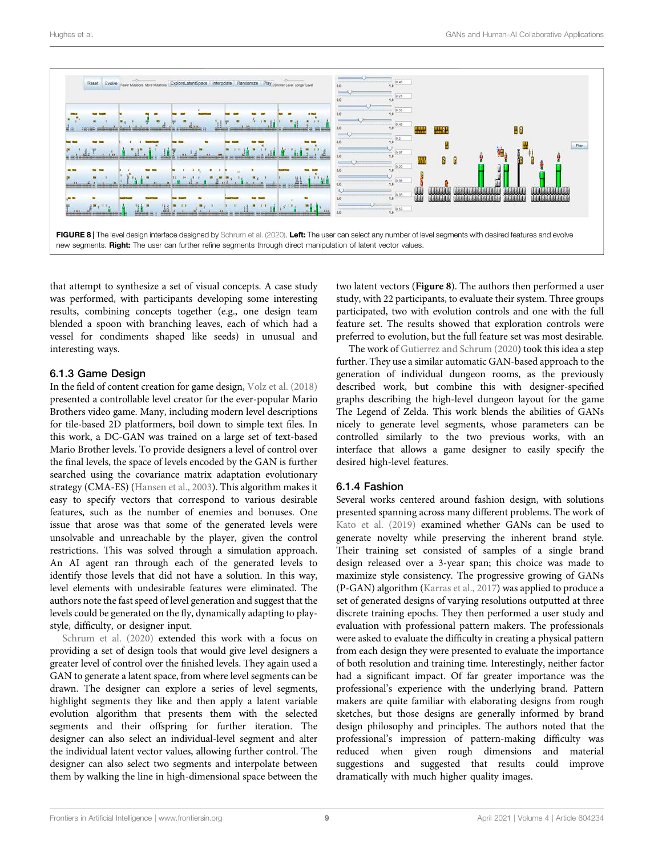

<span id="page-8-0"></span>that attempt to synthesize a set of visual concepts. A case study was performed, with participants developing some interesting results, combining concepts together (e.g., one design team blended a spoon with branching leaves, each of which had a vessel for condiments shaped like seeds) in unusual and interesting ways.

#### 6.1.3 Game Design

In the field of content creation for game design, [Volz et al. \(2018\)](#page-16-21) presented a controllable level creator for the ever-popular Mario Brothers video game. Many, including modern level descriptions for tile-based 2D platformers, boil down to simple text files. In this work, a DC-GAN was trained on a large set of text-based Mario Brother levels. To provide designers a level of control over the final levels, the space of levels encoded by the GAN is further searched using the covariance matrix adaptation evolutionary strategy (CMA-ES) ([Hansen et al., 2003\)](#page-15-26). This algorithm makes it easy to specify vectors that correspond to various desirable features, such as the number of enemies and bonuses. One issue that arose was that some of the generated levels were unsolvable and unreachable by the player, given the control restrictions. This was solved through a simulation approach. An AI agent ran through each of the generated levels to identify those levels that did not have a solution. In this way, level elements with undesirable features were eliminated. The authors note the fast speed of level generation and suggest that the levels could be generated on the fly, dynamically adapting to playstyle, difficulty, or designer input.

[Schrum et al. \(2020\)](#page-16-22) extended this work with a focus on providing a set of design tools that would give level designers a greater level of control over the finished levels. They again used a GAN to generate a latent space, from where level segments can be drawn. The designer can explore a series of level segments, highlight segments they like and then apply a latent variable evolution algorithm that presents them with the selected segments and their offspring for further iteration. The designer can also select an individual-level segment and alter the individual latent vector values, allowing further control. The designer can also select two segments and interpolate between them by walking the line in high-dimensional space between the

two latent vectors ([Figure 8](#page-8-0)). The authors then performed a user study, with 22 participants, to evaluate their system. Three groups participated, two with evolution controls and one with the full feature set. The results showed that exploration controls were preferred to evolution, but the full feature set was most desirable.

The work of [Gutierrez and Schrum \(2020](#page-15-27)) took this idea a step further. They use a similar automatic GAN-based approach to the generation of individual dungeon rooms, as the previously described work, but combine this with designer-specified graphs describing the high-level dungeon layout for the game The Legend of Zelda. This work blends the abilities of GANs nicely to generate level segments, whose parameters can be controlled similarly to the two previous works, with an interface that allows a game designer to easily specify the desired high-level features.

#### <span id="page-8-1"></span>6.1.4 Fashion

Several works centered around fashion design, with solutions presented spanning across many different problems. The work of [Kato et al. \(2019\)](#page-15-12) examined whether GANs can be used to generate novelty while preserving the inherent brand style. Their training set consisted of samples of a single brand design released over a 3-year span; this choice was made to maximize style consistency. The progressive growing of GANs (P-GAN) algorithm ([Karras et al., 2017](#page-15-28)) was applied to produce a set of generated designs of varying resolutions outputted at three discrete training epochs. They then performed a user study and evaluation with professional pattern makers. The professionals were asked to evaluate the difficulty in creating a physical pattern from each design they were presented to evaluate the importance of both resolution and training time. Interestingly, neither factor had a significant impact. Of far greater importance was the professional's experience with the underlying brand. Pattern makers are quite familiar with elaborating designs from rough sketches, but those designs are generally informed by brand design philosophy and principles. The authors noted that the professional's impression of pattern-making difficulty was reduced when given rough dimensions and material suggestions and suggested that results could improve dramatically with much higher quality images.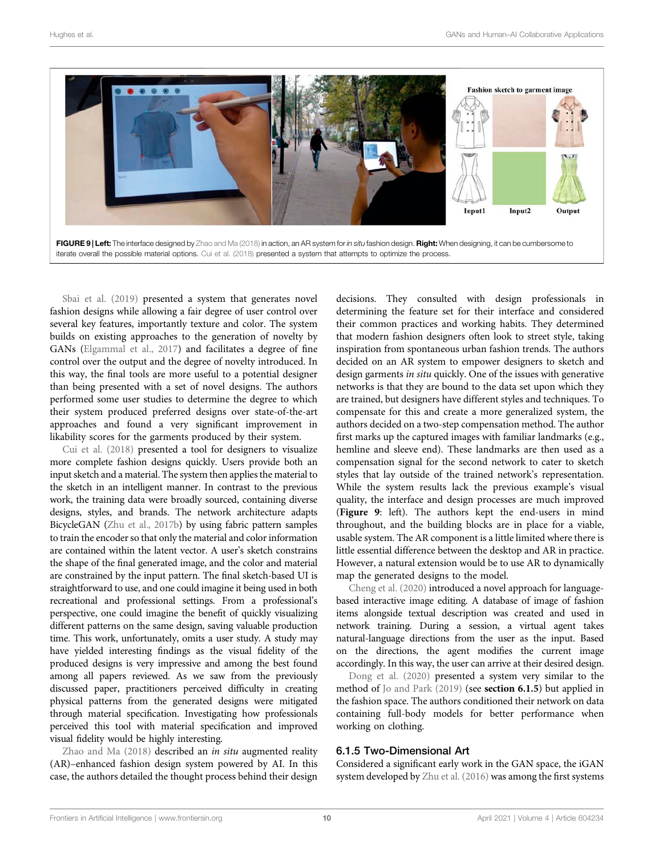

<span id="page-9-0"></span>[Sbai et al. \(2019\)](#page-16-23) presented a system that generates novel fashion designs while allowing a fair degree of user control over several key features, importantly texture and color. The system builds on existing approaches to the generation of novelty by GANs [\(Elgammal et al., 2017\)](#page-15-29) and facilitates a degree of fine control over the output and the degree of novelty introduced. In this way, the final tools are more useful to a potential designer than being presented with a set of novel designs. The authors performed some user studies to determine the degree to which their system produced preferred designs over state-of-the-art approaches and found a very significant improvement in likability scores for the garments produced by their system.

[Cui et al. \(2018\)](#page-14-8) presented a tool for designers to visualize more complete fashion designs quickly. Users provide both an input sketch and a material. The system then applies the material to the sketch in an intelligent manner. In contrast to the previous work, the training data were broadly sourced, containing diverse designs, styles, and brands. The network architecture adapts BicycleGAN ([Zhu et al., 2017b\)](#page-16-24) by using fabric pattern samples to train the encoder so that only the material and color information are contained within the latent vector. A user's sketch constrains the shape of the final generated image, and the color and material are constrained by the input pattern. The final sketch-based UI is straightforward to use, and one could imagine it being used in both recreational and professional settings. From a professional's perspective, one could imagine the benefit of quickly visualizing different patterns on the same design, saving valuable production time. This work, unfortunately, omits a user study. A study may have yielded interesting findings as the visual fidelity of the produced designs is very impressive and among the best found among all papers reviewed. As we saw from the previously discussed paper, practitioners perceived difficulty in creating physical patterns from the generated designs were mitigated through material specification. Investigating how professionals perceived this tool with material specification and improved visual fidelity would be highly interesting.

[Zhao and Ma \(2018\)](#page-16-25) described an in situ augmented reality (AR)–enhanced fashion design system powered by AI. In this case, the authors detailed the thought process behind their design

decisions. They consulted with design professionals in determining the feature set for their interface and considered their common practices and working habits. They determined that modern fashion designers often look to street style, taking inspiration from spontaneous urban fashion trends. The authors decided on an AR system to empower designers to sketch and design garments in situ quickly. One of the issues with generative networks is that they are bound to the data set upon which they are trained, but designers have different styles and techniques. To compensate for this and create a more generalized system, the authors decided on a two-step compensation method. The author first marks up the captured images with familiar landmarks (e.g., hemline and sleeve end). These landmarks are then used as a compensation signal for the second network to cater to sketch styles that lay outside of the trained network's representation. While the system results lack the previous example's visual quality, the interface and design processes are much improved ([Figure 9](#page-9-0): left). The authors kept the end-users in mind throughout, and the building blocks are in place for a viable, usable system. The AR component is a little limited where there is little essential difference between the desktop and AR in practice. However, a natural extension would be to use AR to dynamically map the generated designs to the model.

[Cheng et al. \(2020\)](#page-14-9) introduced a novel approach for languagebased interactive image editing. A database of image of fashion items alongside textual description was created and used in network training. During a session, a virtual agent takes natural-language directions from the user as the input. Based on the directions, the agent modifies the current image accordingly. In this way, the user can arrive at their desired design.

[Dong et al. \(2020\)](#page-14-10) presented a system very similar to the method of [Jo and Park \(2019\)](#page-15-30) (see [section 6.1.5](#page-9-1)) but applied in the fashion space. The authors conditioned their network on data containing full-body models for better performance when working on clothing.

#### <span id="page-9-1"></span>6.1.5 Two-Dimensional Art

Considered a significant early work in the GAN space, the iGAN system developed by [Zhu et al. \(2016\)](#page-16-26) was among the first systems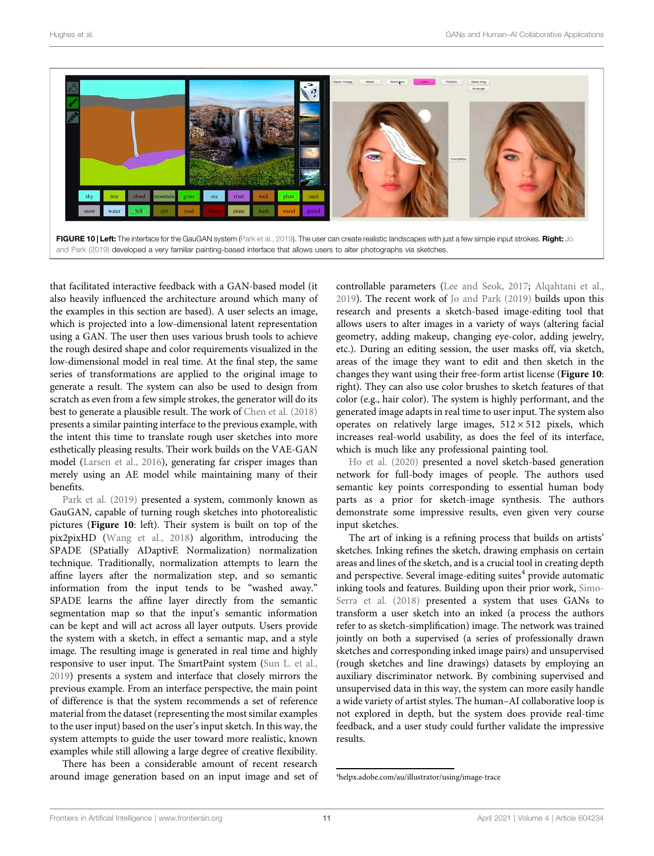

<span id="page-10-0"></span>

that facilitated interactive feedback with a GAN-based model (it also heavily influenced the architecture around which many of the examples in this section are based). A user selects an image, which is projected into a low-dimensional latent representation using a GAN. The user then uses various brush tools to achieve the rough desired shape and color requirements visualized in the low-dimensional model in real time. At the final step, the same series of transformations are applied to the original image to generate a result. The system can also be used to design from scratch as even from a few simple strokes, the generator will do its best to generate a plausible result. The work of [Chen et al. \(2018\)](#page-14-11) presents a similar painting interface to the previous example, with the intent this time to translate rough user sketches into more esthetically pleasing results. Their work builds on the VAE-GAN model ([Larsen et al., 2016](#page-15-31)), generating far crisper images than merely using an AE model while maintaining many of their benefits.

[Park et al. \(2019\)](#page-16-27) presented a system, commonly known as GauGAN, capable of turning rough sketches into photorealistic pictures ([Figure 10](#page-10-0): left). Their system is built on top of the pix2pixHD ([Wang et al., 2018\)](#page-16-28) algorithm, introducing the SPADE (SPatially ADaptivE Normalization) normalization technique. Traditionally, normalization attempts to learn the affine layers after the normalization step, and so semantic information from the input tends to be "washed away." SPADE learns the affine layer directly from the semantic segmentation map so that the input's semantic information can be kept and will act across all layer outputs. Users provide the system with a sketch, in effect a semantic map, and a style image. The resulting image is generated in real time and highly responsive to user input. The SmartPaint system [\(Sun L. et al.,](#page-16-11) [2019](#page-16-11)) presents a system and interface that closely mirrors the previous example. From an interface perspective, the main point of difference is that the system recommends a set of reference material from the dataset (representing the most similar examples to the user input) based on the user's input sketch. In this way, the system attempts to guide the user toward more realistic, known examples while still allowing a large degree of creative flexibility.

There has been a considerable amount of recent research around image generation based on an input image and set of controllable parameters [\(Lee and Seok, 2017](#page-15-8); [Alqahtani et al.,](#page-14-3) [2019](#page-14-3)). The recent work of [Jo and Park \(2019\)](#page-15-30) builds upon this research and presents a sketch-based image-editing tool that allows users to alter images in a variety of ways (altering facial geometry, adding makeup, changing eye-color, adding jewelry, etc.). During an editing session, the user masks off, via sketch, areas of the image they want to edit and then sketch in the changes they want using their free-form artist license ([Figure 10](#page-10-0): right). They can also use color brushes to sketch features of that color (e.g., hair color). The system is highly performant, and the generated image adapts in real time to user input. The system also operates on relatively large images,  $512 \times 512$  pixels, which increases real-world usability, as does the feel of its interface, which is much like any professional painting tool.

[Ho et al. \(2020\)](#page-15-32) presented a novel sketch-based generation network for full-body images of people. The authors used semantic key points corresponding to essential human body parts as a prior for sketch-image synthesis. The authors demonstrate some impressive results, even given very course input sketches.

The art of inking is a refining process that builds on artists' sketches. Inking refines the sketch, drawing emphasis on certain areas and lines of the sketch, and is a crucial tool in creating depth and perspective. Several image-editing suites $4$  provide automatic inking tools and features. Building upon their prior work, [Simo-](#page-16-29)[Serra et al. \(2018\)](#page-16-29) presented a system that uses GANs to transform a user sketch into an inked (a process the authors refer to as sketch-simplification) image. The network was trained jointly on both a supervised (a series of professionally drawn sketches and corresponding inked image pairs) and unsupervised (rough sketches and line drawings) datasets by employing an auxiliary discriminator network. By combining supervised and unsupervised data in this way, the system can more easily handle a wide variety of artist styles. The human–AI collaborative loop is not explored in depth, but the system does provide real-time feedback, and a user study could further validate the impressive results.

<sup>4</sup> [helpx.adobe.com/au/illustrator/using/image-trace](%20http://helpx.adobe.com/au/illustrator/using/image-trace)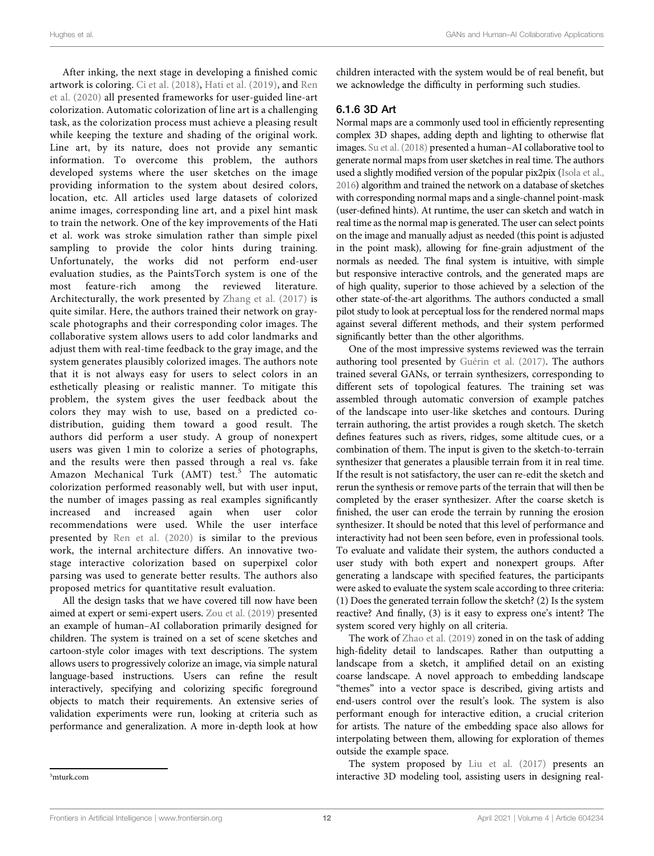After inking, the next stage in developing a finished comic artwork is coloring. [Ci et al. \(2018\),](#page-14-12) [Hati et al. \(2019\)](#page-15-33), and [Ren](#page-16-30) [et al. \(2020\)](#page-16-30) all presented frameworks for user-guided line-art colorization. Automatic colorization of line art is a challenging task, as the colorization process must achieve a pleasing result while keeping the texture and shading of the original work. Line art, by its nature, does not provide any semantic information. To overcome this problem, the authors developed systems where the user sketches on the image providing information to the system about desired colors, location, etc. All articles used large datasets of colorized anime images, corresponding line art, and a pixel hint mask to train the network. One of the key improvements of the Hati et al. work was stroke simulation rather than simple pixel sampling to provide the color hints during training. Unfortunately, the works did not perform end-user evaluation studies, as the PaintsTorch system is one of the most feature-rich among the reviewed literature. Architecturally, the work presented by [Zhang et al. \(2017\)](#page-16-31) is quite similar. Here, the authors trained their network on grayscale photographs and their corresponding color images. The collaborative system allows users to add color landmarks and adjust them with real-time feedback to the gray image, and the system generates plausibly colorized images. The authors note that it is not always easy for users to select colors in an esthetically pleasing or realistic manner. To mitigate this problem, the system gives the user feedback about the colors they may wish to use, based on a predicted codistribution, guiding them toward a good result. The authors did perform a user study. A group of nonexpert users was given 1 min to colorize a series of photographs, and the results were then passed through a real vs. fake Amazon Mechanical Turk (AMT) test.<sup>5</sup> The automatic colorization performed reasonably well, but with user input, the number of images passing as real examples significantly increased and increased again when user color recommendations were used. While the user interface presented by [Ren et al. \(2020\)](#page-16-30) is similar to the previous work, the internal architecture differs. An innovative twostage interactive colorization based on superpixel color parsing was used to generate better results. The authors also proposed metrics for quantitative result evaluation.

All the design tasks that we have covered till now have been aimed at expert or semi-expert users. [Zou et al. \(2019\)](#page-16-32) presented an example of human–AI collaboration primarily designed for children. The system is trained on a set of scene sketches and cartoon-style color images with text descriptions. The system allows users to progressively colorize an image, via simple natural language-based instructions. Users can refine the result interactively, specifying and colorizing specific foreground objects to match their requirements. An extensive series of validation experiments were run, looking at criteria such as performance and generalization. A more in-depth look at how

children interacted with the system would be of real benefit, but we acknowledge the difficulty in performing such studies.

#### 6.1.6 3D Art

Normal maps are a commonly used tool in efficiently representing complex 3D shapes, adding depth and lighting to otherwise flat images. [Su et al. \(2018\)](#page-16-33) presented a human–AI collaborative tool to generate normal maps from user sketches in real time. The authors used a slightly modified version of the popular pix2pix [\(Isola et al.,](#page-15-34) [2016\)](#page-15-34) algorithm and trained the network on a database of sketches with corresponding normal maps and a single-channel point-mask (user-defined hints). At runtime, the user can sketch and watch in real time as the normal map is generated. The user can select points on the image and manually adjust as needed (this point is adjusted in the point mask), allowing for fine-grain adjustment of the normals as needed. The final system is intuitive, with simple but responsive interactive controls, and the generated maps are of high quality, superior to those achieved by a selection of the other state-of-the-art algorithms. The authors conducted a small pilot study to look at perceptual loss for the rendered normal maps against several different methods, and their system performed significantly better than the other algorithms.

One of the most impressive systems reviewed was the terrain authoring tool presented by [Guérin et al. \(2017\).](#page-15-19) The authors trained several GANs, or terrain synthesizers, corresponding to different sets of topological features. The training set was assembled through automatic conversion of example patches of the landscape into user-like sketches and contours. During terrain authoring, the artist provides a rough sketch. The sketch defines features such as rivers, ridges, some altitude cues, or a combination of them. The input is given to the sketch-to-terrain synthesizer that generates a plausible terrain from it in real time. If the result is not satisfactory, the user can re-edit the sketch and rerun the synthesis or remove parts of the terrain that will then be completed by the eraser synthesizer. After the coarse sketch is finished, the user can erode the terrain by running the erosion synthesizer. It should be noted that this level of performance and interactivity had not been seen before, even in professional tools. To evaluate and validate their system, the authors conducted a user study with both expert and nonexpert groups. After generating a landscape with specified features, the participants were asked to evaluate the system scale according to three criteria: (1) Does the generated terrain follow the sketch? (2) Is the system reactive? And finally, (3) is it easy to express one's intent? The system scored very highly on all criteria.

The work of [Zhao et al. \(2019\)](#page-16-34) zoned in on the task of adding high-fidelity detail to landscapes. Rather than outputting a landscape from a sketch, it amplified detail on an existing coarse landscape. A novel approach to embedding landscape "themes" into a vector space is described, giving artists and end-users control over the result's look. The system is also performant enough for interactive edition, a crucial criterion for artists. The nature of the embedding space also allows for interpolating between them, allowing for exploration of themes outside the example space.

The system proposed by [Liu et al. \(2017\)](#page-15-35) presents an interactive 3D modeling tool, assisting users in designing real- <sup>5</sup>

 $5$ [mturk.com](%20http://mturk.com)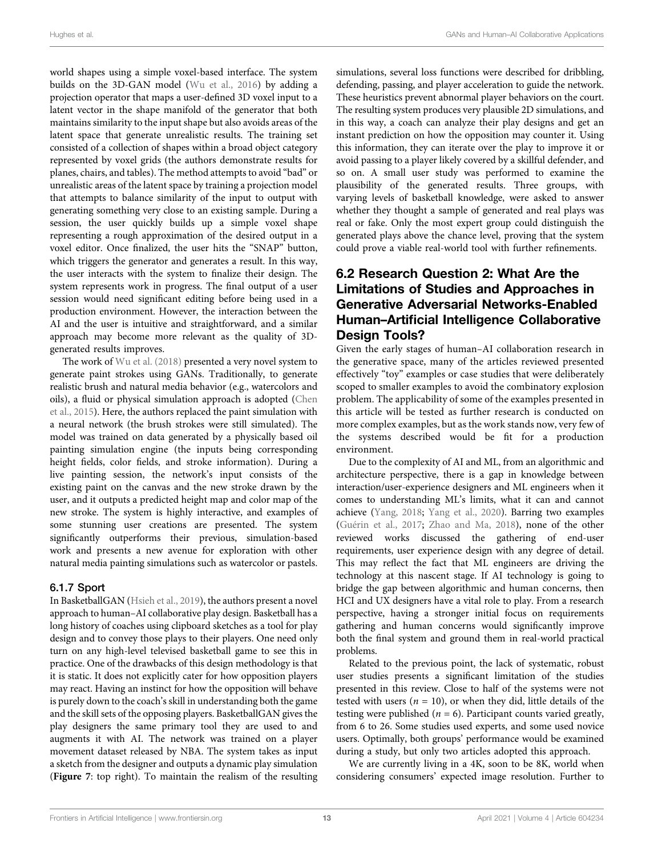world shapes using a simple voxel-based interface. The system builds on the 3D-GAN model [\(Wu et al., 2016](#page-16-35)) by adding a projection operator that maps a user-defined 3D voxel input to a latent vector in the shape manifold of the generator that both maintains similarity to the input shape but also avoids areas of the latent space that generate unrealistic results. The training set consisted of a collection of shapes within a broad object category represented by voxel grids (the authors demonstrate results for planes, chairs, and tables). The method attempts to avoid "bad" or unrealistic areas of the latent space by training a projection model that attempts to balance similarity of the input to output with generating something very close to an existing sample. During a session, the user quickly builds up a simple voxel shape representing a rough approximation of the desired output in a voxel editor. Once finalized, the user hits the "SNAP" button, which triggers the generator and generates a result. In this way, the user interacts with the system to finalize their design. The system represents work in progress. The final output of a user session would need significant editing before being used in a production environment. However, the interaction between the AI and the user is intuitive and straightforward, and a similar approach may become more relevant as the quality of 3Dgenerated results improves.

The work of [Wu et al. \(2018\)](#page-16-36) presented a very novel system to generate paint strokes using GANs. Traditionally, to generate realistic brush and natural media behavior (e.g., watercolors and oils), a fluid or physical simulation approach is adopted ([Chen](#page-14-13) [et al., 2015](#page-14-13)). Here, the authors replaced the paint simulation with a neural network (the brush strokes were still simulated). The model was trained on data generated by a physically based oil painting simulation engine (the inputs being corresponding height fields, color fields, and stroke information). During a live painting session, the network's input consists of the existing paint on the canvas and the new stroke drawn by the user, and it outputs a predicted height map and color map of the new stroke. The system is highly interactive, and examples of some stunning user creations are presented. The system significantly outperforms their previous, simulation-based work and presents a new avenue for exploration with other natural media painting simulations such as watercolor or pastels.

#### 6.1.7 Sport

In BasketballGAN ([Hsieh et al., 2019\)](#page-15-22), the authors present a novel approach to human–AI collaborative play design. Basketball has a long history of coaches using clipboard sketches as a tool for play design and to convey those plays to their players. One need only turn on any high-level televised basketball game to see this in practice. One of the drawbacks of this design methodology is that it is static. It does not explicitly cater for how opposition players may react. Having an instinct for how the opposition will behave is purely down to the coach's skill in understanding both the game and the skill sets of the opposing players. BasketballGAN gives the play designers the same primary tool they are used to and augments it with AI. The network was trained on a player movement dataset released by NBA. The system takes as input a sketch from the designer and outputs a dynamic play simulation ([Figure 7](#page-7-0): top right). To maintain the realism of the resulting

simulations, several loss functions were described for dribbling, defending, passing, and player acceleration to guide the network. These heuristics prevent abnormal player behaviors on the court. The resulting system produces very plausible 2D simulations, and in this way, a coach can analyze their play designs and get an instant prediction on how the opposition may counter it. Using this information, they can iterate over the play to improve it or avoid passing to a player likely covered by a skillful defender, and so on. A small user study was performed to examine the plausibility of the generated results. Three groups, with varying levels of basketball knowledge, were asked to answer whether they thought a sample of generated and real plays was real or fake. Only the most expert group could distinguish the generated plays above the chance level, proving that the system could prove a viable real-world tool with further refinements.

### 6.2 Research Question 2: What Are the Limitations of Studies and Approaches in Generative Adversarial Networks-Enabled Human–Artificial Intelligence Collaborative Design Tools?

Given the early stages of human–AI collaboration research in the generative space, many of the articles reviewed presented effectively "toy" examples or case studies that were deliberately scoped to smaller examples to avoid the combinatory explosion problem. The applicability of some of the examples presented in this article will be tested as further research is conducted on more complex examples, but as the work stands now, very few of the systems described would be fit for a production environment.

Due to the complexity of AI and ML, from an algorithmic and architecture perspective, there is a gap in knowledge between interaction/user-experience designers and ML engineers when it comes to understanding ML's limits, what it can and cannot achieve ([Yang, 2018](#page-16-12); [Yang et al., 2020](#page-16-14)). Barring two examples [\(Guérin et al., 2017](#page-15-19); [Zhao and Ma, 2018\)](#page-16-25), none of the other reviewed works discussed the gathering of end-user requirements, user experience design with any degree of detail. This may reflect the fact that ML engineers are driving the technology at this nascent stage. If AI technology is going to bridge the gap between algorithmic and human concerns, then HCI and UX designers have a vital role to play. From a research perspective, having a stronger initial focus on requirements gathering and human concerns would significantly improve both the final system and ground them in real-world practical problems.

Related to the previous point, the lack of systematic, robust user studies presents a significant limitation of the studies presented in this review. Close to half of the systems were not tested with users ( $n = 10$ ), or when they did, little details of the testing were published ( $n = 6$ ). Participant counts varied greatly, from 6 to 26. Some studies used experts, and some used novice users. Optimally, both groups' performance would be examined during a study, but only two articles adopted this approach.

We are currently living in a 4K, soon to be 8K, world when considering consumers' expected image resolution. Further to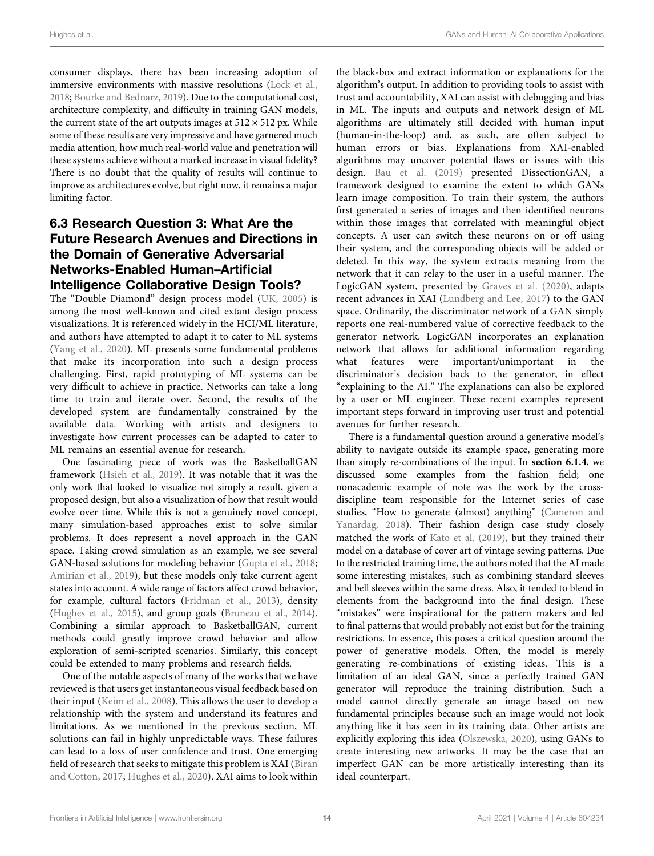consumer displays, there has been increasing adoption of immersive environments with massive resolutions [\(Lock et al.,](#page-15-36) [2018](#page-15-36); [Bourke and Bednarz, 2019](#page-14-14)). Due to the computational cost, architecture complexity, and difficulty in training GAN models, the current state of the art outputs images at  $512 \times 512$  px. While some of these results are very impressive and have garnered much media attention, how much real-world value and penetration will these systems achieve without a marked increase in visual fidelity? There is no doubt that the quality of results will continue to improve as architectures evolve, but right now, it remains a major limiting factor.

# 6.3 Research Question 3: What Are the Future Research Avenues and Directions in the Domain of Generative Adversarial Networks-Enabled Human–Artificial Intelligence Collaborative Design Tools?

The "Double Diamond" design process model ([UK, 2005\)](#page-16-37) is among the most well-known and cited extant design process visualizations. It is referenced widely in the HCI/ML literature, and authors have attempted to adapt it to cater to ML systems ([Yang et al., 2020\)](#page-16-14). ML presents some fundamental problems that make its incorporation into such a design process challenging. First, rapid prototyping of ML systems can be very difficult to achieve in practice. Networks can take a long time to train and iterate over. Second, the results of the developed system are fundamentally constrained by the available data. Working with artists and designers to investigate how current processes can be adapted to cater to ML remains an essential avenue for research.

One fascinating piece of work was the BasketballGAN framework ([Hsieh et al., 2019\)](#page-15-22). It was notable that it was the only work that looked to visualize not simply a result, given a proposed design, but also a visualization of how that result would evolve over time. While this is not a genuinely novel concept, many simulation-based approaches exist to solve similar problems. It does represent a novel approach in the GAN space. Taking crowd simulation as an example, we see several GAN-based solutions for modeling behavior ([Gupta et al., 2018](#page-15-37); [Amirian et al., 2019](#page-14-15)), but these models only take current agent states into account. A wide range of factors affect crowd behavior, for example, cultural factors ([Fridman et al., 2013\)](#page-15-38), density ([Hughes et al., 2015\)](#page-15-39), and group goals [\(Bruneau et al., 2014\)](#page-14-16). Combining a similar approach to BasketballGAN, current methods could greatly improve crowd behavior and allow exploration of semi-scripted scenarios. Similarly, this concept could be extended to many problems and research fields.

One of the notable aspects of many of the works that we have reviewed is that users get instantaneous visual feedback based on their input [\(Keim et al., 2008](#page-15-40)). This allows the user to develop a relationship with the system and understand its features and limitations. As we mentioned in the previous section, ML solutions can fail in highly unpredictable ways. These failures can lead to a loss of user confidence and trust. One emerging field of research that seeks to mitigate this problem is XAI ([Biran](#page-14-0) [and Cotton, 2017](#page-14-0); [Hughes et al., 2020](#page-15-41)). XAI aims to look within

the black-box and extract information or explanations for the algorithm's output. In addition to providing tools to assist with trust and accountability, XAI can assist with debugging and bias in ML. The inputs and outputs and network design of ML algorithms are ultimately still decided with human input (human-in-the-loop) and, as such, are often subject to human errors or bias. Explanations from XAI-enabled algorithms may uncover potential flaws or issues with this design. [Bau et al. \(2019\)](#page-14-17) presented DissectionGAN, a framework designed to examine the extent to which GANs learn image composition. To train their system, the authors first generated a series of images and then identified neurons within those images that correlated with meaningful object concepts. A user can switch these neurons on or off using their system, and the corresponding objects will be added or deleted. In this way, the system extracts meaning from the network that it can relay to the user in a useful manner. The LogicGAN system, presented by [Graves et al. \(2020\),](#page-15-42) adapts recent advances in XAI [\(Lundberg and Lee, 2017\)](#page-15-43) to the GAN space. Ordinarily, the discriminator network of a GAN simply reports one real-numbered value of corrective feedback to the generator network. LogicGAN incorporates an explanation network that allows for additional information regarding what features were important/unimportant in the discriminator's decision back to the generator, in effect "explaining to the AI." The explanations can also be explored by a user or ML engineer. These recent examples represent important steps forward in improving user trust and potential avenues for further research.

There is a fundamental question around a generative model's ability to navigate outside its example space, generating more than simply re-combinations of the input. In [section 6.1.4](#page-8-1), we discussed some examples from the fashion field; one nonacademic example of note was the work by the crossdiscipline team responsible for the Internet series of case studies, "How to generate (almost) anything" ([Cameron](#page-14-18) and [Yanardag, 2018](#page-14-18)). Their fashion design case study closely matched the work of [Kato et al. \(2019\)](#page-15-12), but they trained their model on a database of cover art of vintage sewing patterns. Due to the restricted training time, the authors noted that the AI made some interesting mistakes, such as combining standard sleeves and bell sleeves within the same dress. Also, it tended to blend in elements from the background into the final design. These "mistakes" were inspirational for the pattern makers and led to final patterns that would probably not exist but for the training restrictions. In essence, this poses a critical question around the power of generative models. Often, the model is merely generating re-combinations of existing ideas. This is a limitation of an ideal GAN, since a perfectly trained GAN generator will reproduce the training distribution. Such a model cannot directly generate an image based on new fundamental principles because such an image would not look anything like it has seen in its training data. Other artists are explicitly exploring this idea [\(Olszewska, 2020\)](#page-16-38), using GANs to create interesting new artworks. It may be the case that an imperfect GAN can be more artistically interesting than its ideal counterpart.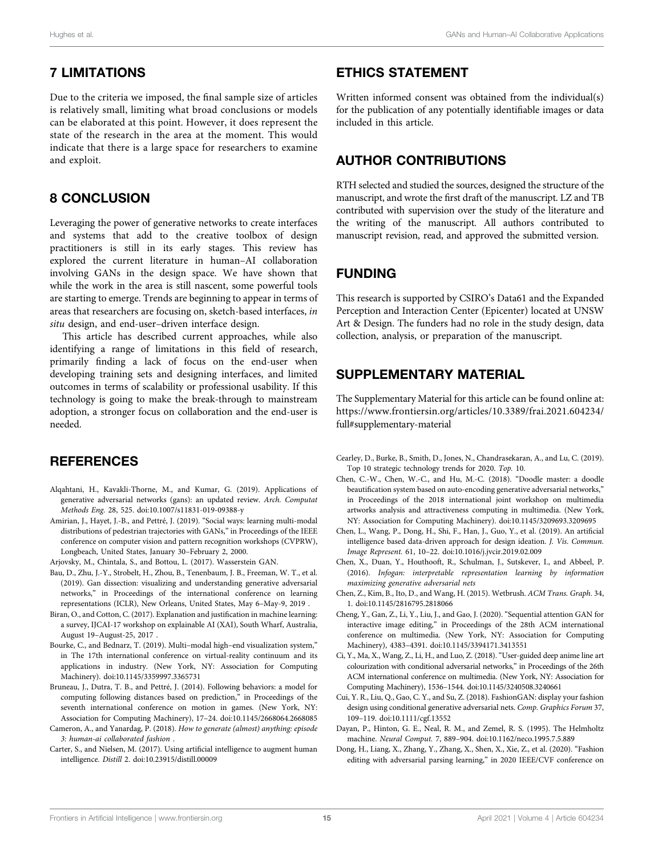# 7 LIMITATIONS

Due to the criteria we imposed, the final sample size of articles is relatively small, limiting what broad conclusions or models can be elaborated at this point. However, it does represent the state of the research in the area at the moment. This would indicate that there is a large space for researchers to examine and exploit.

### 8 CONCLUSION

Leveraging the power of generative networks to create interfaces and systems that add to the creative toolbox of design practitioners is still in its early stages. This review has explored the current literature in human–AI collaboration involving GANs in the design space. We have shown that while the work in the area is still nascent, some powerful tools are starting to emerge. Trends are beginning to appear in terms of areas that researchers are focusing on, sketch-based interfaces, in situ design, and end-user–driven interface design.

This article has described current approaches, while also identifying a range of limitations in this field of research, primarily finding a lack of focus on the end-user when developing training sets and designing interfaces, and limited outcomes in terms of scalability or professional usability. If this technology is going to make the break-through to mainstream adoption, a stronger focus on collaboration and the end-user is needed.

### **REFERENCES**

- <span id="page-14-3"></span>Alqahtani, H., Kavakli-Thorne, M., and Kumar, G. (2019). Applications of generative adversarial networks (gans): an updated review. Arch. Computat Methods Eng. 28, 525. doi:[10.1007/s11831-019-09388-y](https://doi.org/10.1007/s11831-019-09388-y)
- <span id="page-14-15"></span>Amirian, J., Hayet, J.-B., and Pettré, J. (2019). "Social ways: learning multi-modal distributions of pedestrian trajectories with GANs," in Proceedings of the IEEE conference on computer vision and pattern recognition workshops (CVPRW), Longbeach, United States, January 30–February 2, 2000.
- <span id="page-14-6"></span>Arjovsky, M., Chintala, S., and Bottou, L. (2017). Wasserstein GAN.
- <span id="page-14-17"></span>Bau, D., Zhu, J.-Y., Strobelt, H., Zhou, B., Tenenbaum, J. B., Freeman, W. T., et al. (2019). Gan dissection: visualizing and understanding generative adversarial networks," in Proceedings of the international conference on learning representations (ICLR), New Orleans, United States, May 6–May-9, 2019 .
- <span id="page-14-0"></span>Biran, O., and Cotton, C. (2017). Explanation and justification in machine learning: a survey, IJCAI-17 workshop on explainable AI (XAI), South Wharf, Australia, August 19–August-25, 2017 .
- <span id="page-14-14"></span>Bourke, C., and Bednarz, T. (2019). Multi–modal high–end visualization system," in The 17th international conference on virtual-reality continuum and its applications in industry. (New York, NY: Association for Computing Machinery). doi:[10.1145/3359997.3365731](https://doi.org/10.1145/3359997.3365731)
- <span id="page-14-16"></span>Bruneau, J., Dutra, T. B., and Pettré, J. (2014). Following behaviors: a model for computing following distances based on prediction," in Proceedings of the seventh international conference on motion in games. (New York, NY: Association for Computing Machinery), 17–24. doi:[10.1145/2668064.2668085](https://doi.org/10.1145/2668064.2668085)
- <span id="page-14-18"></span>Cameron, A., and Yanardag, P. (2018). How to generate (almost) anything: episode 3: human-ai collaborated fashion .
- <span id="page-14-2"></span>Carter, S., and Nielsen, M. (2017). Using artificial intelligence to augment human intelligence. Distill 2. doi[:10.23915/distill.00009](https://doi.org/10.23915/distill.00009)

# ETHICS STATEMENT

Written informed consent was obtained from the individual(s) for the publication of any potentially identifiable images or data included in this article.

# AUTHOR CONTRIBUTIONS

RTH selected and studied the sources, designed the structure of the manuscript, and wrote the first draft of the manuscript. LZ and TB contributed with supervision over the study of the literature and the writing of the manuscript. All authors contributed to manuscript revision, read, and approved the submitted version.

## FUNDING

This research is supported by CSIRO's Data61 and the Expanded Perception and Interaction Center (Epicenter) located at UNSW Art & Design. The funders had no role in the study design, data collection, analysis, or preparation of the manuscript.

# SUPPLEMENTARY MATERIAL

The Supplementary Material for this article can be found online at: [https://www.frontiersin.org/articles/10.3389/frai.2021.604234/](https://www.frontiersin.org/articles/10.3389/frai.2021.604234/full#supplementary-material) [full#supplementary-material](https://www.frontiersin.org/articles/10.3389/frai.2021.604234/full#supplementary-material)

- <span id="page-14-5"></span>Cearley, D., Burke, B., Smith, D., Jones, N., Chandrasekaran, A., and Lu, C. (2019). Top 10 strategic technology trends for 2020. Top. 10.
- <span id="page-14-11"></span>Chen, C.-W., Chen, W.-C., and Hu, M.-C. (2018). "Doodle master: a doodle beautification system based on auto-encoding generative adversarial networks," in Proceedings of the 2018 international joint workshop on multimedia artworks analysis and attractiveness computing in multimedia. (New York, NY: Association for Computing Machinery). doi:[10.1145/3209693.3209695](https://doi.org/10.1145/3209693.3209695)
- <span id="page-14-7"></span>Chen, L., Wang, P., Dong, H., Shi, F., Han, J., Guo, Y., et al. (2019). An artificial intelligence based data-driven approach for design ideation. J. Vis. Commun. Image Represent. 61, 10–22. doi:[10.1016/j.jvcir.2019.02.009](https://doi.org/10.1016/j.jvcir.2019.02.009)
- <span id="page-14-1"></span>Chen, X., Duan, Y., Houthooft, R., Schulman, J., Sutskever, I., and Abbeel, P. (2016). Infogan: interpretable representation learning by information maximizing generative adversarial nets
- <span id="page-14-13"></span>Chen, Z., Kim, B., Ito, D., and Wang, H. (2015). Wetbrush. ACM Trans. Graph. 34, 1. doi[:10.1145/2816795.2818066](https://doi.org/10.1145/2816795.2818066)
- <span id="page-14-9"></span>Cheng, Y., Gan, Z., Li, Y., Liu, J., and Gao, J. (2020). "Sequential attention GAN for interactive image editing," in Proceedings of the 28th ACM international conference on multimedia. (New York, NY: Association for Computing Machinery), 4383–4391. doi:[10.1145/3394171.3413551](https://doi.org/10.1145/3394171.3413551)
- <span id="page-14-12"></span>Ci, Y., Ma, X., Wang, Z., Li, H., and Luo, Z. (2018). "User-guided deep anime line art colourization with conditional adversarial networks," in Proceedings of the 26th ACM international conference on multimedia. (New York, NY: Association for Computing Machinery), 1536–1544. doi[:10.1145/3240508.3240661](https://doi.org/10.1145/3240508.3240661)
- <span id="page-14-8"></span>Cui, Y. R., Liu, Q., Gao, C. Y., and Su, Z. (2018). FashionGAN: display your fashion design using conditional generative adversarial nets. Comp. Graphics Forum 37, 109–119. doi:[10.1111/cgf.13552](https://doi.org/10.1111/cgf.13552)
- <span id="page-14-4"></span>Dayan, P., Hinton, G. E., Neal, R. M., and Zemel, R. S. (1995). The Helmholtz machine. Neural Comput. 7, 889–904. doi[:10.1162/neco.1995.7.5.889](https://doi.org/10.1162/neco.1995.7.5.889)
- <span id="page-14-10"></span>Dong, H., Liang, X., Zhang, Y., Zhang, X., Shen, X., Xie, Z., et al. (2020). "Fashion editing with adversarial parsing learning," in 2020 IEEE/CVF conference on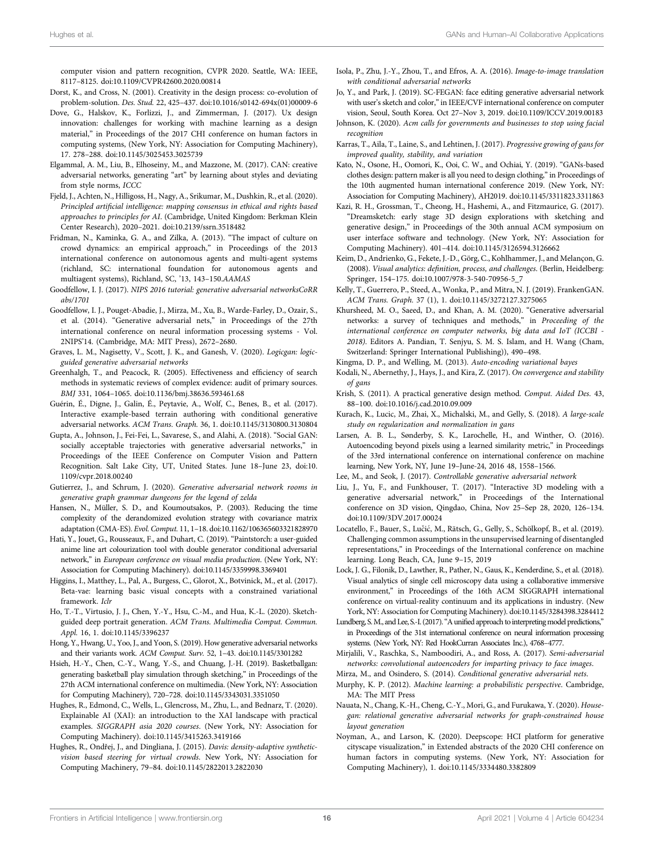computer vision and pattern recognition, CVPR 2020. Seattle, WA: IEEE, 8117–8125. doi[:10.1109/CVPR42600.2020.00814](https://doi.org/10.1109/CVPR42600.2020.00814)

- <span id="page-15-25"></span>Dorst, K., and Cross, N. (2001). Creativity in the design process: co-evolution of problem-solution. Des. Stud. 22, 425–437. doi[:10.1016/s0142-694x\(01\)00009-6](https://doi.org/10.1016/s0142-694x(01)00009-6)
- <span id="page-15-16"></span>Dove, G., Halskov, K., Forlizzi, J., and Zimmerman, J. (2017). Ux design innovation: challenges for working with machine learning as a design material," in Proceedings of the 2017 CHI conference on human factors in computing systems, (New York, NY: Association for Computing Machinery), 17. 278–288. doi[:10.1145/3025453.3025739](https://doi.org/10.1145/3025453.3025739)
- <span id="page-15-29"></span>Elgammal, A. M., Liu, B., Elhoseiny, M., and Mazzone, M. (2017). CAN: creative adversarial networks, generating "art" by learning about styles and deviating from style norms, ICCC
- <span id="page-15-3"></span>Fjeld, J., Achten, N., Hilligoss, H., Nagy, A., Srikumar, M., Dushkin, R., et al. (2020). Principled artificial intelligence: mapping consensus in ethical and rights based approaches to principles for AI. (Cambridge, United Kingdom: Berkman Klein Center Research), 2020–2021. doi[:10.2139/ssrn.3518482](https://doi.org/10.2139/ssrn.3518482)
- <span id="page-15-38"></span>Fridman, N., Kaminka, G. A., and Zilka, A. (2013). "The impact of culture on crowd dynamics: an empirical approach," in Proceedings of the 2013 international conference on autonomous agents and multi-agent systems (richland, SC: international foundation for autonomous agents and multiagent systems), Richland, SC, '13, 143–150.AAMAS
- <span id="page-15-5"></span>Goodfellow, I. J. (2017). NIPS 2016 tutorial: generative adversarial networksCoRR abs/1701
- <span id="page-15-4"></span>Goodfellow, I. J., Pouget-Abadie, J., Mirza, M., Xu, B., Warde-Farley, D., Ozair, S., et al. (2014). "Generative adversarial nets," in Proceedings of the 27th international conference on neural information processing systems - Vol. 2NIPS'14. (Cambridge, MA: MIT Press), 2672–2680.
- <span id="page-15-42"></span>Graves, L. M., Nagisetty, V., Scott, J. K., and Ganesh, V. (2020). Logicgan: logicguided generative adversarial networks
- <span id="page-15-20"></span>Greenhalgh, T., and Peacock, R. (2005). Effectiveness and efficiency of search methods in systematic reviews of complex evidence: audit of primary sources. BMJ 331, 1064–1065. doi:[10.1136/bmj.38636.593461.68](https://doi.org/10.1136/bmj.38636.593461.68)
- <span id="page-15-19"></span>Guérin, É., Digne, J., Galin, É., Peytavie, A., Wolf, C., Benes, B., et al. (2017). Interactive example-based terrain authoring with conditional generative adversarial networks. ACM Trans. Graph. 36, 1. doi:[10.1145/3130800.3130804](https://doi.org/10.1145/3130800.3130804)
- <span id="page-15-37"></span>Gupta, A., Johnson, J., Fei-Fei, L., Savarese, S., and Alahi, A. (2018). "Social GAN: socially acceptable trajectories with generative adversarial networks," in Proceedings of the IEEE Conference on Computer Vision and Pattern Recognition. Salt Lake City, UT, United States. June 18–June 23, doi[:10.](https://doi.org/10.1109/cvpr.2018.00240) [1109/cvpr.2018.00240](https://doi.org/10.1109/cvpr.2018.00240)
- <span id="page-15-27"></span>Gutierrez, J., and Schrum, J. (2020). Generative adversarial network rooms in generative graph grammar dungeons for the legend of zelda
- <span id="page-15-26"></span>Hansen, N., Müller, S. D., and Koumoutsakos, P. (2003). Reducing the time complexity of the derandomized evolution strategy with covariance matrix adaptation (CMA-ES). Evol. Comput. 11, 1–18. doi:[10.1162/106365603321828970](https://doi.org/10.1162/106365603321828970)
- <span id="page-15-33"></span>Hati, Y., Jouet, G., Rousseaux, F., and Duhart, C. (2019). "Paintstorch: a user-guided anime line art colourization tool with double generator conditional adversarial network," in European conference on visual media production. (New York, NY: Association for Computing Machinery). doi:[10.1145/3359998.3369401](https://doi.org/10.1145/3359998.3369401)
- <span id="page-15-15"></span>Higgins, I., Matthey, L., Pal, A., Burgess, C., Glorot, X., Botvinick, M., et al. (2017). Beta-vae: learning basic visual concepts with a constrained variational framework. Iclr
- <span id="page-15-32"></span>Ho, T.-T., Virtusio, J. J., Chen, Y.-Y., Hsu, C.-M., and Hua, K.-L. (2020). Sketchguided deep portrait generation. ACM Trans. Multimedia Comput. Commun. Appl. 16, 1. doi:[10.1145/3396237](https://doi.org/10.1145/3396237)
- <span id="page-15-9"></span>Hong, Y., Hwang, U., Yoo, J., and Yoon, S. (2019). How generative adversarial networks and their variants work. ACM Comput. Surv. 52, 1–43. doi:[10.1145/3301282](https://doi.org/10.1145/3301282)
- <span id="page-15-22"></span>Hsieh, H.-Y., Chen, C.-Y., Wang, Y.-S., and Chuang, J.-H. (2019). Basketballgan: generating basketball play simulation through sketching," in Proceedings of the 27th ACM international conference on multimedia. (New York, NY: Association for Computing Machinery), 720–728. doi[:10.1145/3343031.3351050](https://doi.org/10.1145/3343031.3351050)
- <span id="page-15-41"></span>Hughes, R., Edmond, C., Wells, L., Glencross, M., Zhu, L., and Bednarz, T. (2020). Explainable AI (XAI): an introduction to the XAI landscape with practical examples. SIGGRAPH asia 2020 courses. (New York, NY: Association for Computing Machinery). doi[:10.1145/3415263.3419166](https://doi.org/10.1145/3415263.3419166)
- <span id="page-15-39"></span>Hughes, R., Ondřej, J., and Dingliana, J. (2015). Davis: density-adaptive syntheticvision based steering for virtual crowds. New York, NY: Association for Computing Machinery, 79–84. doi:[10.1145/2822013.2822030](https://doi.org/10.1145/2822013.2822030)
- <span id="page-15-34"></span>Isola, P., Zhu, J.-Y., Zhou, T., and Efros, A. A. (2016). Image-to-image translation with conditional adversarial networks
- <span id="page-15-30"></span>Jo, Y., and Park, J. (2019). SC-FEGAN: face editing generative adversarial network with user's sketch and color,"in IEEE/CVF international conference on computer vision, Seoul, South Korea. Oct 27–Nov 3, 2019. doi:[10.1109/ICCV.2019.00183](https://doi.org/10.1109/ICCV.2019.00183)
- <span id="page-15-2"></span>Johnson, K. (2020). Acm calls for governments and businesses to stop using facial recognition
- <span id="page-15-28"></span>Karras, T., Aila, T., Laine, S., and Lehtinen, J. (2017). Progressive growing of gans for improved quality, stability, and variation
- <span id="page-15-12"></span>Kato, N., Osone, H., Oomori, K., Ooi, C. W., and Ochiai, Y. (2019). "GANs-based clothes design: pattern maker is all you need to design clothing,"in Proceedings of the 10th augmented human international conference 2019. (New York, NY: Association for Computing Machinery), AH2019. doi:[10.1145/3311823.3311863](https://doi.org/10.1145/3311823.3311863)
- <span id="page-15-18"></span>Kazi, R. H., Grossman, T., Cheong, H., Hashemi, A., and Fitzmaurice, G. (2017). "Dreamsketch: early stage 3D design explorations with sketching and generative design," in Proceedings of the 30th annual ACM symposium on user interface software and technology. (New York, NY: Association for Computing Machinery). 401–414. doi[:10.1145/3126594.3126662](https://doi.org/10.1145/3126594.3126662)
- <span id="page-15-40"></span>Keim, D., Andrienko, G., Fekete, J.-D., Görg, C., Kohlhammer, J., and Melançon, G. (2008). Visual analytics: definition, process, and challenges. (Berlin, Heidelberg: Springer, 154–175. doi[:10.1007/978-3-540-70956-5\\_7](https://doi.org/10.1007/978-3-540-70956-5_7)
- <span id="page-15-24"></span>Kelly, T., Guerrero, P., Steed, A., Wonka, P., and Mitra, N. J. (2019). FrankenGAN. ACM Trans. Graph. 37 (1), 1. doi:[10.1145/3272127.3275065](https://doi.org/10.1145/3272127.3275065)
- <span id="page-15-10"></span>Khursheed, M. O., Saeed, D., and Khan, A. M. (2020). "Generative adversarial networks: a survey of techniques and methods," in Proceeding of the international conference on computer networks, big data and IoT (ICCBI - 2018). Editors A. Pandian, T. Senjyu, S. M. S. Islam, and H. Wang (Cham, Switzerland: Springer International Publishing)), 490–498.
- <span id="page-15-14"></span>Kingma, D. P., and Welling, M. (2013). Auto-encoding variational bayes
- <span id="page-15-6"></span>Kodali, N., Abernethy, J., Hays, J., and Kira, Z. (2017). On convergence and stability of gans
- <span id="page-15-17"></span>Krish, S. (2011). A practical generative design method. Comput. Aided Des. 43, 88–100. doi[:10.1016/j.cad.2010.09.009](https://doi.org/10.1016/j.cad.2010.09.009)
- <span id="page-15-11"></span>Kurach, K., Lucic, M., Zhai, X., Michalski, M., and Gelly, S. (2018). A large-scale study on regularization and normalization in gans
- <span id="page-15-31"></span>Larsen, A. B. L., Sønderby, S. K., Larochelle, H., and Winther, O. (2016). Autoencoding beyond pixels using a learned similarity metric," in Proceedings of the 33rd international conference on international conference on machine learning, New York, NY, June 19–June-24, 2016 48, 1558–1566.
- <span id="page-15-8"></span>Lee, M., and Seok, J. (2017). Controllable generative adversarial network
- <span id="page-15-35"></span>Liu, J., Yu, F., and Funkhouser, T. (2017). "Interactive 3D modeling with a generative adversarial network," in Proceedings of the International conference on 3D vision, Qingdao, China, Nov 25–Sep 28, 2020, 126–134. doi[:10.1109/3DV.2017.00024](https://doi.org/10.1109/3DV.2017.00024)
- <span id="page-15-21"></span>Locatello, F., Bauer, S., Lučić, M., Rätsch, G., Gelly, S., Schölkopf, B., et al. (2019). Challenging common assumptions in the unsupervised learning of disentangled representations," in Proceedings of the International conference on machine learning. Long Beach, CA, June 9–15, 2019
- <span id="page-15-36"></span>Lock, J. G., Filonik, D., Lawther, R., Pather, N., Gaus, K., Kenderdine, S., et al. (2018). Visual analytics of single cell microscopy data using a collaborative immersive environment," in Proceedings of the 16th ACM SIGGRAPH international conference on virtual-reality continuum and its applications in industry. (New York, NY: Association for Computing Machinery). doi:[10.1145/3284398.3284412](https://doi.org/10.1145/3284398.3284412)
- <span id="page-15-43"></span>Lundberg, S. M., and Lee, S.-I. (2017). "A unified approach to interpreting model predictions," in Proceedings of the 31st international conference on neural information processing systems. (New York, NY: Red HookCurran Associates Inc.), 4768–4777.

<span id="page-15-1"></span>Mirjalili, V., Raschka, S., Namboodiri, A., and Ross, A. (2017). Semi-adversarial networks: convolutional autoencoders for imparting privacy to face images.

- <span id="page-15-7"></span><span id="page-15-0"></span>Mirza, M., and Osindero, S. (2014). Conditional generative adversarial nets. Murphy, K. P. (2012). Machine learning: a probabilistic perspective. Cambridge, MA: The MIT Press
- <span id="page-15-23"></span>Nauata, N., Chang, K.-H., Cheng, C.-Y., Mori, G., and Furukawa, Y. (2020). Housegan: relational generative adversarial networks for graph-constrained house layout generation
- <span id="page-15-13"></span>Noyman, A., and Larson, K. (2020). Deepscope: HCI platform for generative cityscape visualization," in Extended abstracts of the 2020 CHI conference on human factors in computing systems. (New York, NY: Association for Computing Machinery), 1. doi:[10.1145/3334480.3382809](https://doi.org/10.1145/3334480.3382809)